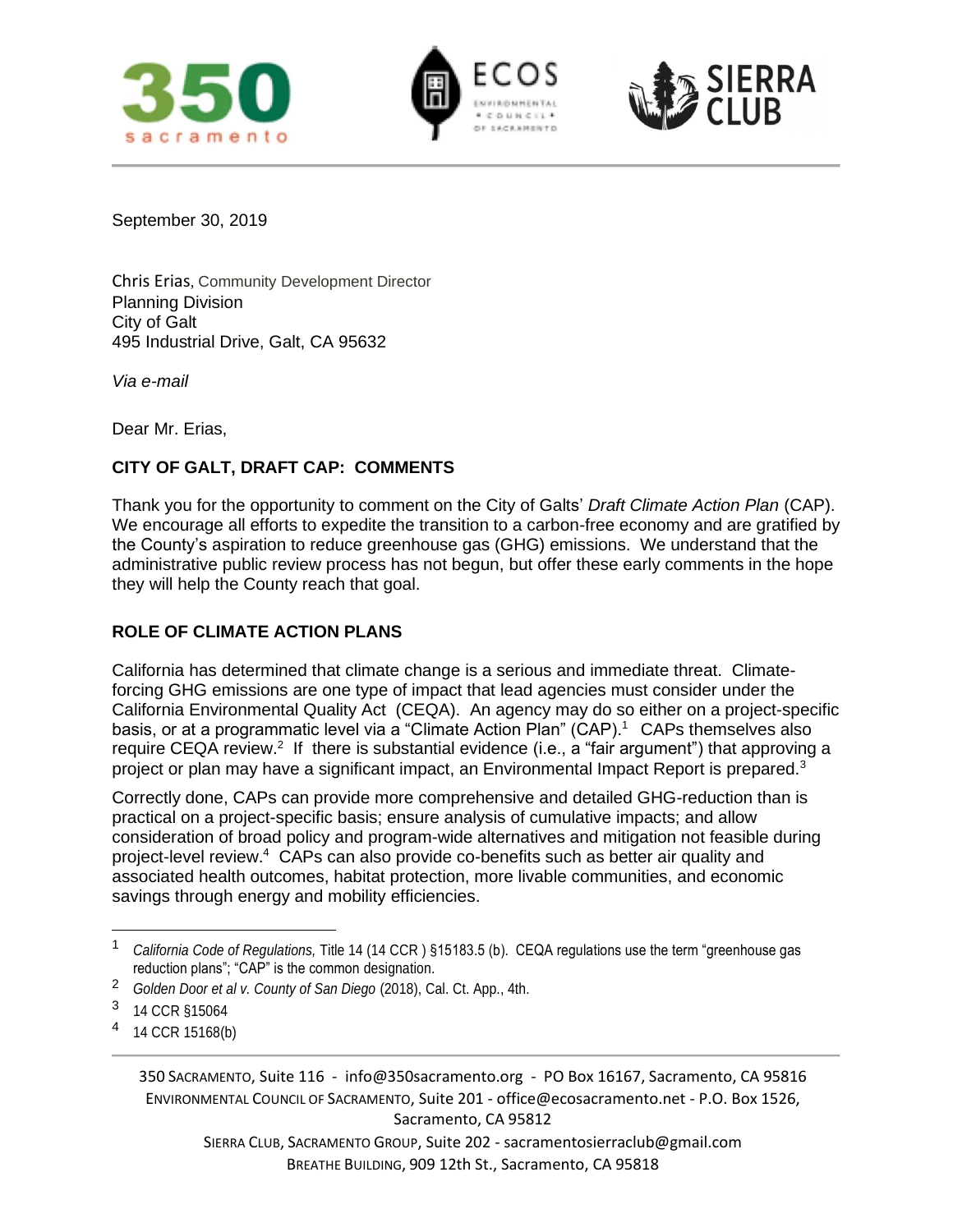





September 30, 2019

Chris Erias, Community Development Director Planning Division City of Galt 495 Industrial Drive, Galt, CA 95632

*Via e-mail*

Dear Mr. Erias,

# **CITY OF GALT, DRAFT CAP: COMMENTS**

Thank you for the opportunity to comment on the City of Galts' *Draft Climate Action Plan* (CAP). We encourage all efforts to expedite the transition to a carbon-free economy and are gratified by the County's aspiration to reduce greenhouse gas (GHG) emissions. We understand that the administrative public review process has not begun, but offer these early comments in the hope they will help the County reach that goal.

# **ROLE OF CLIMATE ACTION PLANS**

California has determined that climate change is a serious and immediate threat. Climateforcing GHG emissions are one type of impact that lead agencies must consider under the California Environmental Quality Act (CEQA). An agency may do so either on a project-specific basis, or at a programmatic level via a "Climate Action Plan" (CAP).<sup>1</sup> CAPs themselves also require CEQA review.<sup>2</sup> If there is substantial evidence (i.e., a "fair argument") that approving a project or plan may have a significant impact, an Environmental Impact Report is prepared.<sup>3</sup>

Correctly done, CAPs can provide more comprehensive and detailed GHG-reduction than is practical on a project-specific basis; ensure analysis of cumulative impacts; and allow consideration of broad policy and program-wide alternatives and mitigation not feasible during project-level review.<sup>4</sup> CAPs can also provide co-benefits such as better air quality and associated health outcomes, habitat protection, more livable communities, and economic savings through energy and mobility efficiencies.

<sup>4</sup> 14 CCR 15168(b)

SIERRA CLUB, SACRAMENTO GROUP, Suite 202 - sacramentosierraclub@gmail.com BREATHE BUILDING, 909 12th St., Sacramento, CA 95818

<sup>1</sup> *California Code of Regulations,* Title 14 (14 CCR ) §15183.5 (b). CEQA regulations use the term "greenhouse gas reduction plans"; "CAP" is the common designation.

<sup>2</sup> *Golden Door et al v. County of San Diego* (2018), Cal. Ct. App., 4th.

<sup>3</sup> 14 CCR §15064

<sup>350</sup> SACRAMENTO, Suite 116 - info@350sacramento.org - PO Box 16167, Sacramento, CA 95816 ENVIRONMENTAL COUNCIL OF SACRAMENTO, Suite 201 - office@ecosacramento.net - P.O. Box 1526, Sacramento, CA 95812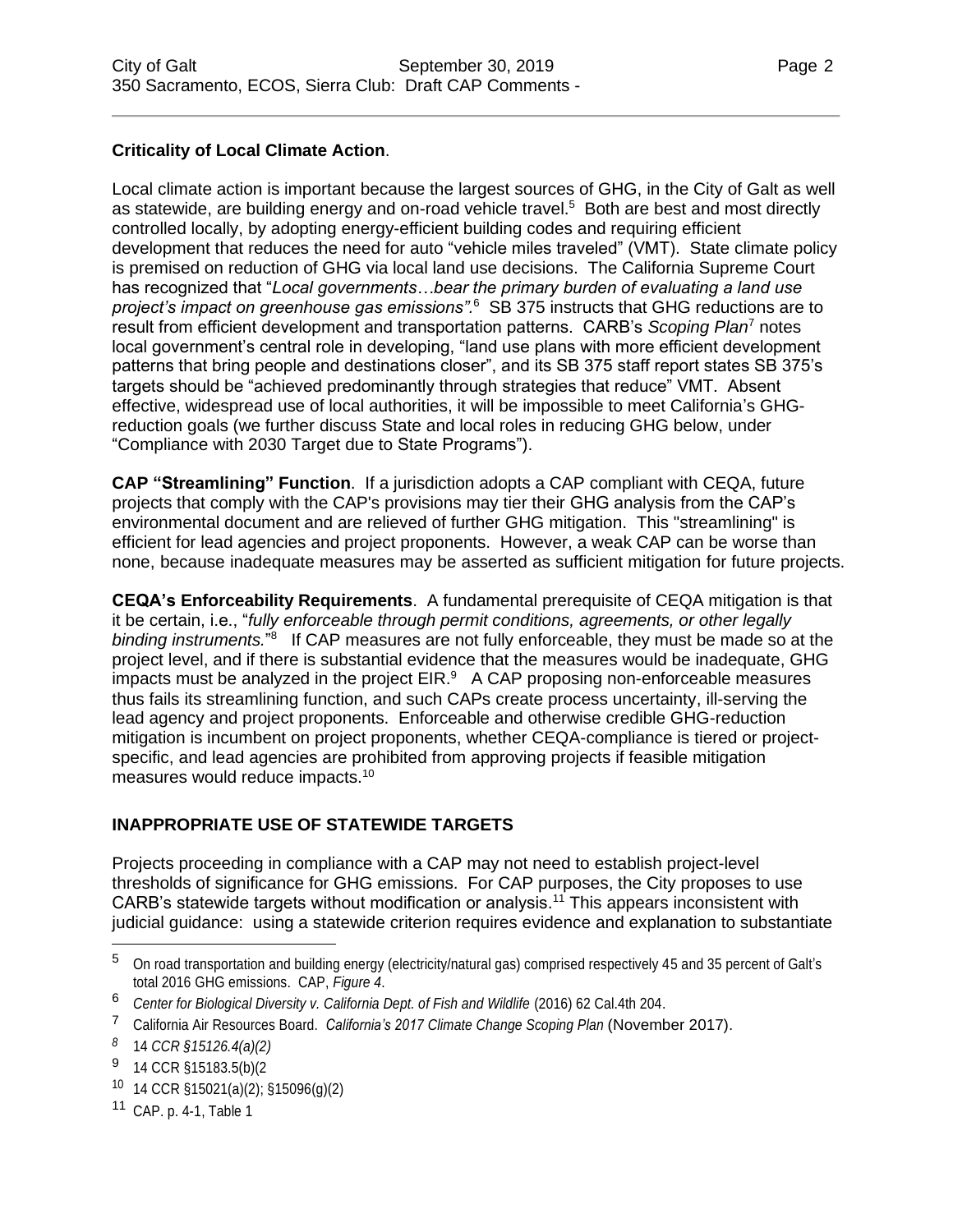## **Criticality of Local Climate Action**.

Local climate action is important because the largest sources of GHG, in the City of Galt as well as statewide, are building energy and on-road vehicle travel.<sup>5</sup> Both are best and most directly controlled locally, by adopting energy-efficient building codes and requiring efficient development that reduces the need for auto "vehicle miles traveled" (VMT). State climate policy is premised on reduction of GHG via local land use decisions. The California Supreme Court has recognized that "*Local governments…bear the primary burden of evaluating a land use*  project's impact on greenhouse gas emissions".<sup>6</sup> SB 375 instructs that GHG reductions are to result from efficient development and transportation patterns. CARB's *Scoping Plan*<sup>7</sup> notes local government's central role in developing, "land use plans with more efficient development patterns that bring people and destinations closer", and its SB 375 staff report states SB 375's targets should be "achieved predominantly through strategies that reduce" VMT. Absent effective, widespread use of local authorities, it will be impossible to meet California's GHGreduction goals (we further discuss State and local roles in reducing GHG below, under "Compliance with 2030 Target due to State Programs").

**CAP "Streamlining" Function**. If a jurisdiction adopts a CAP compliant with CEQA, future projects that comply with the CAP's provisions may tier their GHG analysis from the CAP's environmental document and are relieved of further GHG mitigation. This "streamlining" is efficient for lead agencies and project proponents. However, a weak CAP can be worse than none, because inadequate measures may be asserted as sufficient mitigation for future projects.

**CEQA's Enforceability Requirements**. A fundamental prerequisite of CEQA mitigation is that it be certain, i.e., "*fully enforceable through permit conditions, agreements, or other legally*  binding instruments.<sup>"8</sup> If CAP measures are not fully enforceable, they must be made so at the project level, and if there is substantial evidence that the measures would be inadequate, GHG impacts must be analyzed in the project  $EIR<sup>9</sup>$  A CAP proposing non-enforceable measures thus fails its streamlining function, and such CAPs create process uncertainty, ill-serving the lead agency and project proponents. Enforceable and otherwise credible GHG-reduction mitigation is incumbent on project proponents, whether CEQA-compliance is tiered or projectspecific, and lead agencies are prohibited from approving projects if feasible mitigation measures would reduce impacts.<sup>10</sup>

# **INAPPROPRIATE USE OF STATEWIDE TARGETS**

Projects proceeding in compliance with a CAP may not need to establish project-level thresholds of significance for GHG emissions. For CAP purposes, the City proposes to use CARB's statewide targets without modification or analysis.<sup>11</sup> This appears inconsistent with judicial guidance: using a statewide criterion requires evidence and explanation to substantiate

 $10$  14 CCR §15021(a)(2); §15096(q)(2)

<sup>5</sup> On road transportation and building energy (electricity/natural gas) comprised respectively 45 and <sup>35</sup> percent of Galt's total 2016 GHG emissions. CAP, *Figure 4*.

<sup>6</sup> *Center for Biological Diversity v. California Dept. of Fish and Wildlife* (2016) 62 Cal.4th 204.

<sup>7</sup> California Air Resources Board. *California's 2017 Climate Change Scoping Plan* (November 2017).

*<sup>8</sup>* 14 *CCR §15126.4(a)(2)*

<sup>9</sup> 14 CCR §15183.5(b)(2

<sup>11</sup> CAP. p. 4-1, Table 1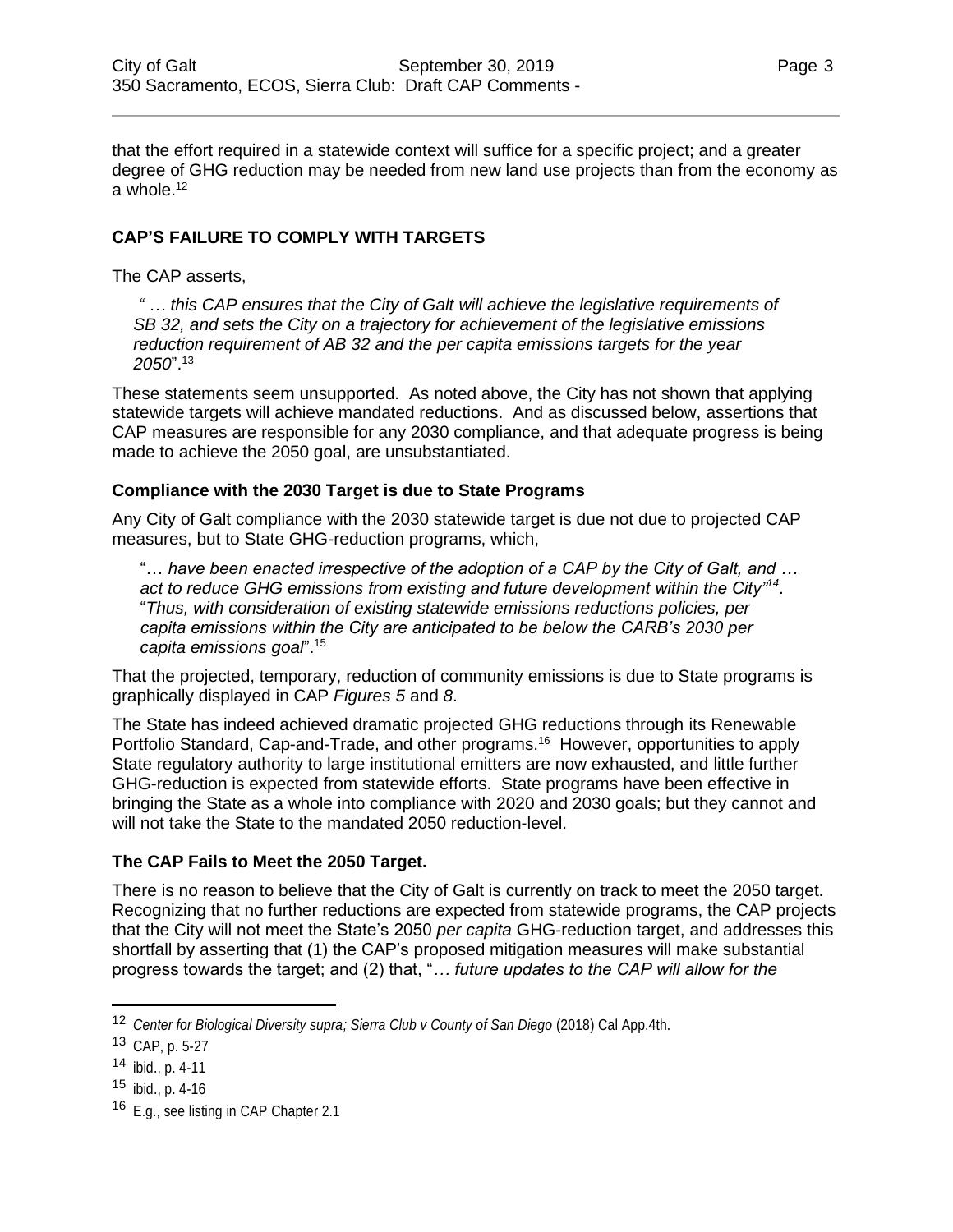that the effort required in a statewide context will suffice for a specific project; and a greater degree of GHG reduction may be needed from new land use projects than from the economy as a whole.<sup>12</sup>

## **CAP'S FAILURE TO COMPLY WITH TARGETS**

The CAP asserts,

*" … this CAP ensures that the City of Galt will achieve the legislative requirements of SB 32, and sets the City on a trajectory for achievement of the legislative emissions reduction requirement of AB 32 and the per capita emissions targets for the year 2050*". 13

These statements seem unsupported. As noted above, the City has not shown that applying statewide targets will achieve mandated reductions. And as discussed below, assertions that CAP measures are responsible for any 2030 compliance, and that adequate progress is being made to achieve the 2050 goal, are unsubstantiated.

#### **Compliance with the 2030 Target is due to State Programs**

Any City of Galt compliance with the 2030 statewide target is due not due to projected CAP measures, but to State GHG-reduction programs, which,

"… *have been enacted irrespective of the adoption of a CAP by the City of Galt, and … act to reduce GHG emissions from existing and future development within the City"<sup>14</sup>* . "*Thus, with consideration of existing statewide emissions reductions policies, per capita emissions within the City are anticipated to be below the CARB's 2030 per capita emissions goal*".<sup>15</sup>

That the projected, temporary, reduction of community emissions is due to State programs is graphically displayed in CAP *Figures 5* and *8*.

The State has indeed achieved dramatic projected GHG reductions through its Renewable Portfolio Standard, Cap-and-Trade, and other programs.<sup>16</sup> However, opportunities to apply State regulatory authority to large institutional emitters are now exhausted, and little further GHG-reduction is expected from statewide efforts. State programs have been effective in bringing the State as a whole into compliance with 2020 and 2030 goals; but they cannot and will not take the State to the mandated 2050 reduction-level.

#### **The CAP Fails to Meet the 2050 Target.**

There is no reason to believe that the City of Galt is currently on track to meet the 2050 target. Recognizing that no further reductions are expected from statewide programs, the CAP projects that the City will not meet the State's 2050 *per capita* GHG-reduction target, and addresses this shortfall by asserting that (1) the CAP's proposed mitigation measures will make substantial progress towards the target; and (2) that, "*… future updates to the CAP will allow for the* 

<sup>12</sup> *Center for Biological Diversity supra; Sierra Club v County of San Diego* (2018) Cal App.4th.

<sup>13</sup> CAP, p. 5-27

 $14$  ibid., p. 4-11

 $15$  ibid., p. 4-16

<sup>&</sup>lt;sup>16</sup> E.g., see listing in CAP Chapter 2.1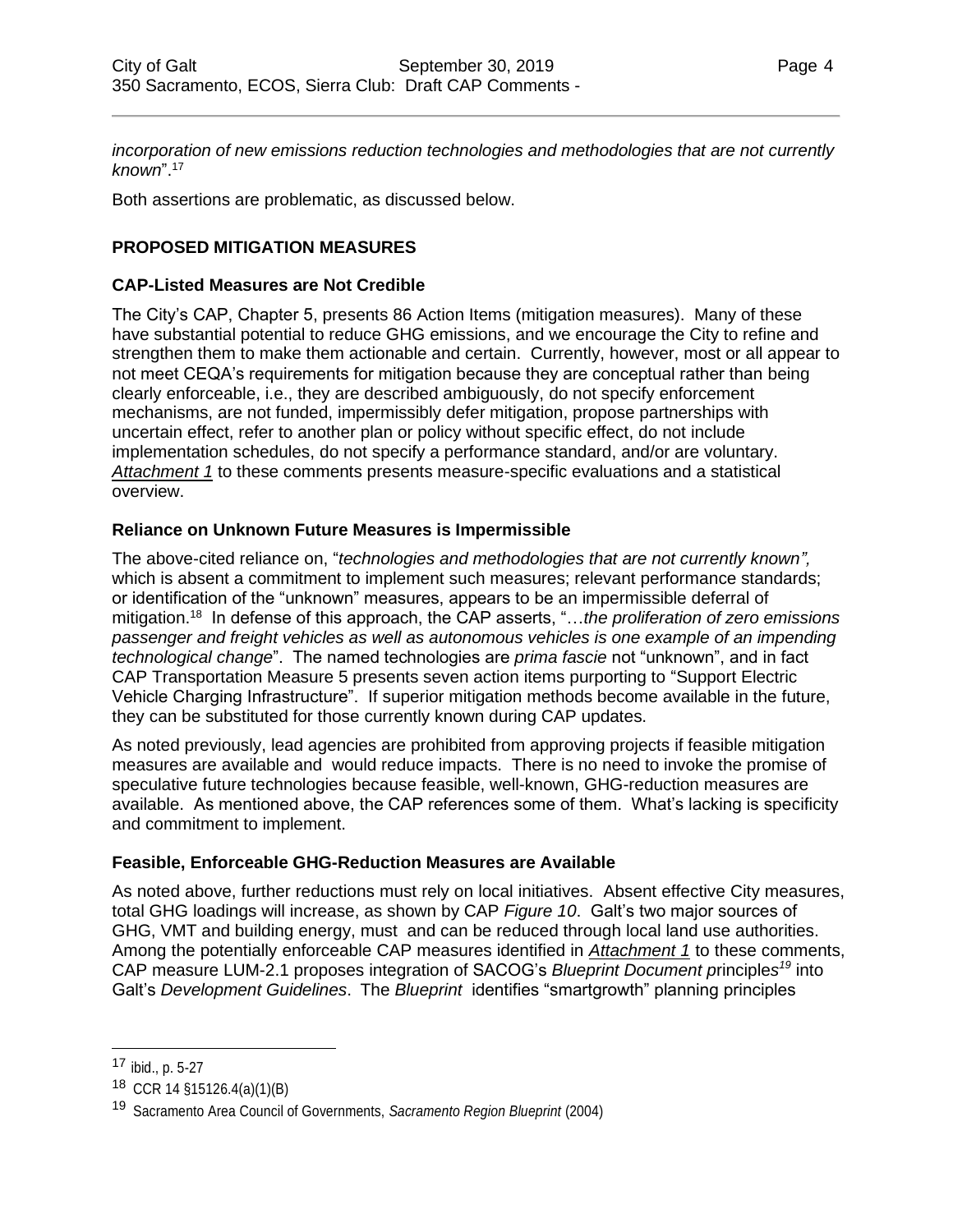*incorporation of new emissions reduction technologies and methodologies that are not currently known*". 17

Both assertions are problematic, as discussed below.

## **PROPOSED MITIGATION MEASURES**

#### **CAP-Listed Measures are Not Credible**

The City's CAP, Chapter 5, presents 86 Action Items (mitigation measures). Many of these have substantial potential to reduce GHG emissions, and we encourage the City to refine and strengthen them to make them actionable and certain. Currently, however, most or all appear to not meet CEQA's requirements for mitigation because they are conceptual rather than being clearly enforceable, i.e., they are described ambiguously, do not specify enforcement mechanisms, are not funded, impermissibly defer mitigation, propose partnerships with uncertain effect, refer to another plan or policy without specific effect, do not include implementation schedules, do not specify a performance standard, and/or are voluntary. *Attachment 1* to these comments presents measure-specific evaluations and a statistical overview.

#### **Reliance on Unknown Future Measures is Impermissible**

The above-cited reliance on, "*technologies and methodologies that are not currently known",*  which is absent a commitment to implement such measures; relevant performance standards; or identification of the "unknown" measures, appears to be an impermissible deferral of mitigation.<sup>18</sup> In defense of this approach, the CAP asserts, "…*the proliferation of zero emissions passenger and freight vehicles as well as autonomous vehicles is one example of an impending technological change*". The named technologies are *prima fascie* not "unknown", and in fact CAP Transportation Measure 5 presents seven action items purporting to "Support Electric Vehicle Charging Infrastructure". If superior mitigation methods become available in the future, they can be substituted for those currently known during CAP updates.

As noted previously, lead agencies are prohibited from approving projects if feasible mitigation measures are available and would reduce impacts. There is no need to invoke the promise of speculative future technologies because feasible, well-known, GHG-reduction measures are available. As mentioned above, the CAP references some of them. What's lacking is specificity and commitment to implement.

#### **Feasible, Enforceable GHG-Reduction Measures are Available**

As noted above, further reductions must rely on local initiatives. Absent effective City measures, total GHG loadings will increase, as shown by CAP *Figure 10*. Galt's two major sources of GHG, VMT and building energy, must and can be reduced through local land use authorities. Among the potentially enforceable CAP measures identified in *Attachment 1* to these comments, CAP measure LUM-2.1 proposes integration of SACOG's *Blueprint Document p*rinciple*s <sup>19</sup>* into Galt's *Development Guidelines*. The *Blueprint* identifies "smartgrowth" planning principles

<sup>17</sup> ibid., p. 5-27

<sup>18</sup> CCR 14 §15126.4(a)(1)(B)

<sup>19</sup> Sacramento Area Council of Governments, *Sacramento Region Blueprint* (2004)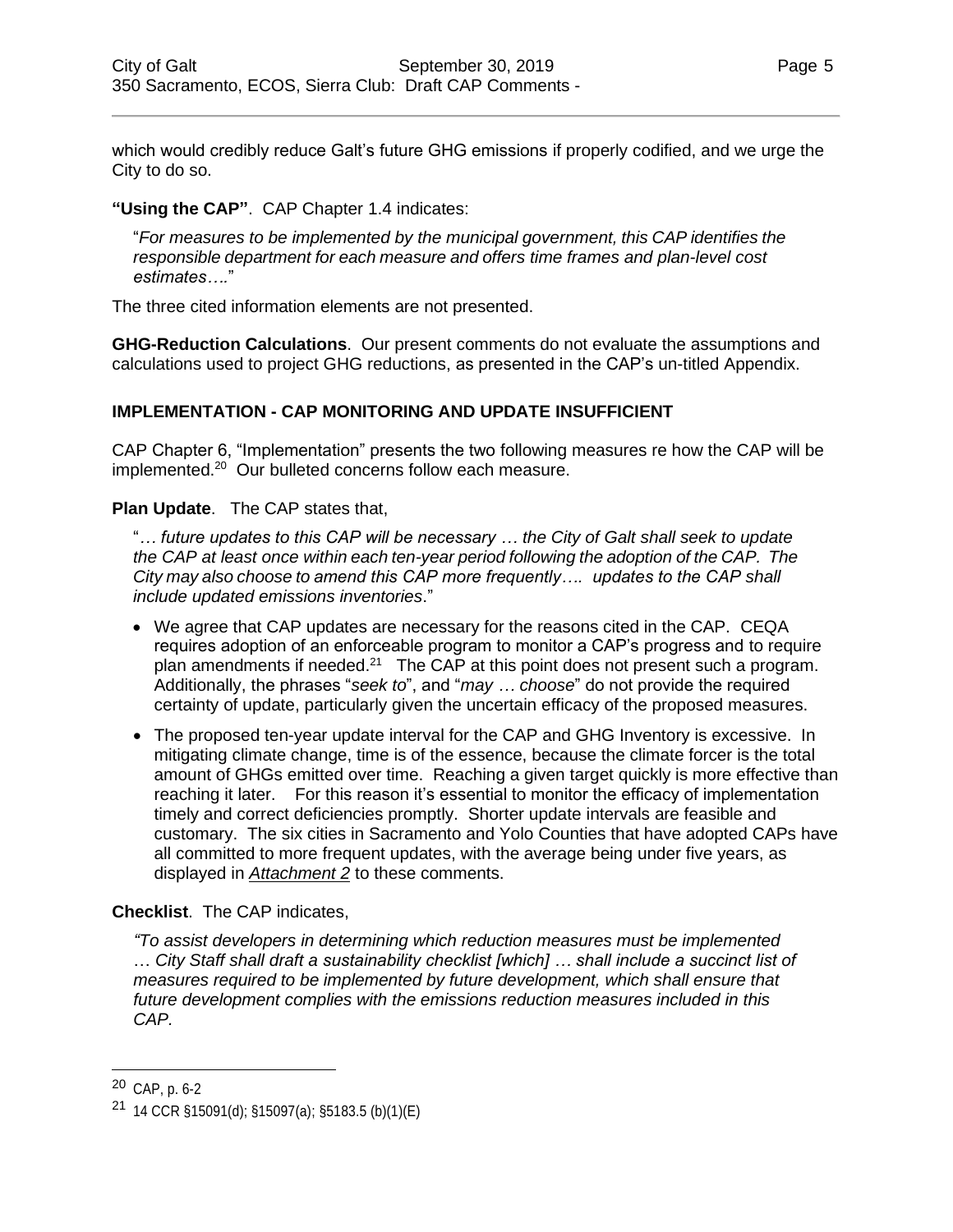which would credibly reduce Galt's future GHG emissions if properly codified, and we urge the City to do so.

#### **"Using the CAP"**. CAP Chapter 1.4 indicates:

"*For measures to be implemented by the municipal government, this CAP identifies the responsible department for each measure and offers time frames and plan-level cost estimates….*"

The three cited information elements are not presented.

**GHG-Reduction Calculations**. Our present comments do not evaluate the assumptions and calculations used to project GHG reductions, as presented in the CAP's un-titled Appendix.

## **IMPLEMENTATION - CAP MONITORING AND UPDATE INSUFFICIENT**

CAP Chapter 6, "Implementation" presents the two following measures re how the CAP will be implemented.<sup>20</sup> Our bulleted concerns follow each measure.

**Plan Update**. The CAP states that,

"*… future updates to this CAP will be necessary … the City of Galt shall seek to update the CAP at least once within each ten-year period following the adoption of the CAP. The City may also choose to amend this CAP more frequently…. updates to the CAP shall include updated emissions inventories*."

- We agree that CAP updates are necessary for the reasons cited in the CAP. CEQA requires adoption of an enforceable program to monitor a CAP's progress and to require plan amendments if needed. $21$  The CAP at this point does not present such a program. Additionally, the phrases "*seek to*", and "*may … choose*" do not provide the required certainty of update, particularly given the uncertain efficacy of the proposed measures.
- The proposed ten-year update interval for the CAP and GHG Inventory is excessive. In mitigating climate change, time is of the essence, because the climate forcer is the total amount of GHGs emitted over time. Reaching a given target quickly is more effective than reaching it later. For this reason it's essential to monitor the efficacy of implementation timely and correct deficiencies promptly. Shorter update intervals are feasible and customary. The six cities in Sacramento and Yolo Counties that have adopted CAPs have all committed to more frequent updates, with the average being under five years, as displayed in *Attachment 2* to these comments.

#### **Checklist**.The CAP indicates,

*"To assist developers in determining which reduction measures must be implemented* … *City Staff shall draft a sustainability checklist [which] … shall include a succinct list of measures required to be implemented by future development, which shall ensure that future development complies with the emissions reduction measures included in this CAP.*

<sup>20</sup> CAP, p. 6-2

<sup>21</sup> 14 CCR §15091(d); §15097(a); §5183.5 (b)(1)(E)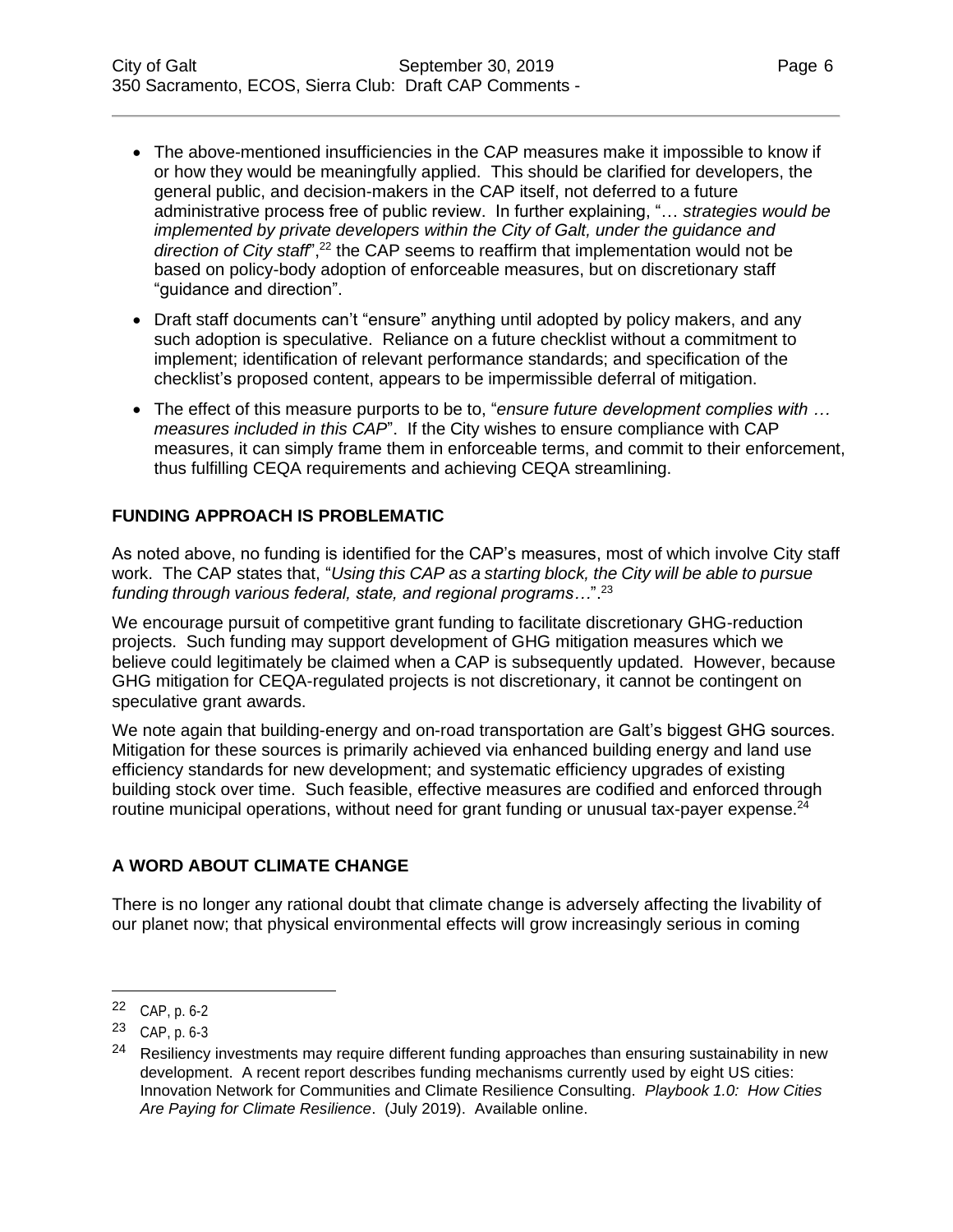*direction of City staff*",<sup>22</sup> the CAP seems to reaffirm that implementation would not be based on policy-body adoption of enforceable measures, but on discretionary staff "guidance and direction".

- Draft staff documents can't "ensure" anything until adopted by policy makers, and any such adoption is speculative. Reliance on a future checklist without a commitment to implement; identification of relevant performance standards; and specification of the checklist's proposed content, appears to be impermissible deferral of mitigation.
- The effect of this measure purports to be to, "*ensure future development complies with … measures included in this CAP*". If the City wishes to ensure compliance with CAP measures, it can simply frame them in enforceable terms, and commit to their enforcement, thus fulfilling CEQA requirements and achieving CEQA streamlining.

## **FUNDING APPROACH IS PROBLEMATIC**

As noted above, no funding is identified for the CAP's measures, most of which involve City staff work. The CAP states that, "*Using this CAP as a starting block, the City will be able to pursue funding through various federal, state, and regional programs…*".<sup>23</sup>

We encourage pursuit of competitive grant funding to facilitate discretionary GHG-reduction projects. Such funding may support development of GHG mitigation measures which we believe could legitimately be claimed when a CAP is subsequently updated. However, because GHG mitigation for CEQA-regulated projects is not discretionary, it cannot be contingent on speculative grant awards.

We note again that building-energy and on-road transportation are Galt's biggest GHG sources. Mitigation for these sources is primarily achieved via enhanced building energy and land use efficiency standards for new development; and systematic efficiency upgrades of existing building stock over time. Such feasible, effective measures are codified and enforced through routine municipal operations, without need for grant funding or unusual tax-payer expense. $^{24}$ 

# **A WORD ABOUT CLIMATE CHANGE**

There is no longer any rational doubt that climate change is adversely affecting the livability of our planet now; that physical environmental effects will grow increasingly serious in coming

<sup>22</sup> CAP, p. 6-2

<sup>23</sup> CAP, p. 6-3

<sup>&</sup>lt;sup>24</sup> Resiliency investments may require different funding approaches than ensuring sustainability in new development. A recent report describes funding mechanisms currently used by eight US cities: Innovation Network for Communities and Climate Resilience Consulting. *Playbook 1.0: How Cities Are Paying for Climate Resilience*. (July 2019). Available online.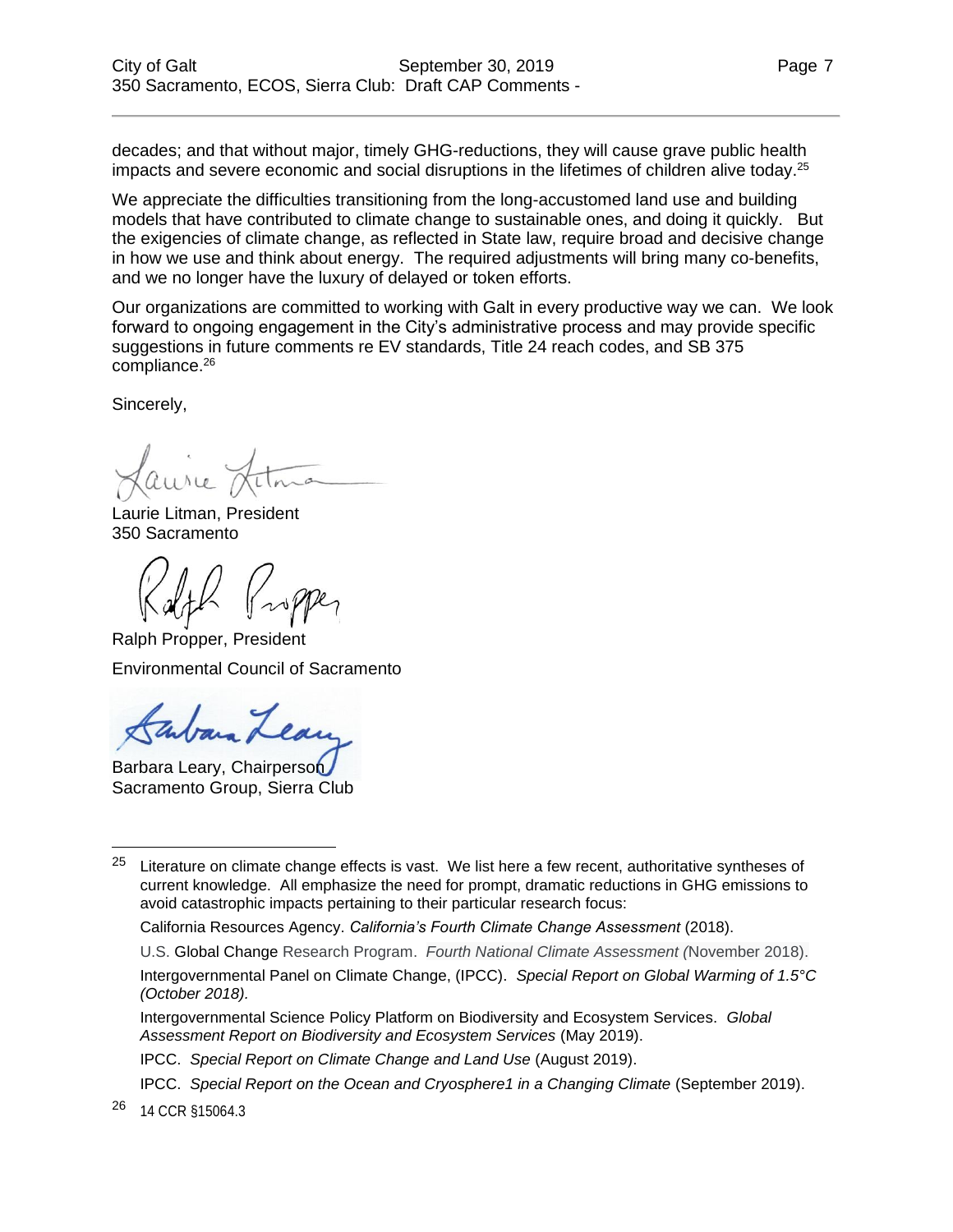decades; and that without major, timely GHG-reductions, they will cause grave public health impacts and severe economic and social disruptions in the lifetimes of children alive today.<sup>25</sup>

We appreciate the difficulties transitioning from the long-accustomed land use and building models that have contributed to climate change to sustainable ones, and doing it quickly. But the exigencies of climate change, as reflected in State law, require broad and decisive change in how we use and think about energy. The required adjustments will bring many co-benefits, and we no longer have the luxury of delayed or token efforts.

Our organizations are committed to working with Galt in every productive way we can. We look forward to ongoing engagement in the City's administrative process and may provide specific suggestions in future comments re EV standards, Title 24 reach codes, and SB 375 compliance.<sup>26</sup>

Sincerely,

Laurie Litman, President 350 Sacramento

Ralph Propper, President Environmental Council of Sacramento

Barbara Leary, Chairperson Sacramento Group, Sierra Club

IPCC. *Special Report on Climate Change and Land Use* (August 2019).

<sup>26</sup> 14 CCR §15064.3

 $25$  Literature on climate change effects is vast. We list here a few recent, authoritative syntheses of current knowledge. All emphasize the need for prompt, dramatic reductions in GHG emissions to avoid catastrophic impacts pertaining to their particular research focus:

California Resources Agency. *California's Fourth Climate Change Assessment* (2018).

U.S. Global Change Research Program. *Fourth National Climate Assessment (*November 2018).

Intergovernmental Panel on Climate Change, (IPCC). *Special Report on Global Warming of 1.5°C (October 2018).*

Intergovernmental Science Policy Platform on Biodiversity and Ecosystem Services. *Global Assessment Report on Biodiversity and Ecosystem Services* (May 2019).

IPCC. *Special Report on the Ocean and Cryosphere1 in a Changing Climate* (September 2019).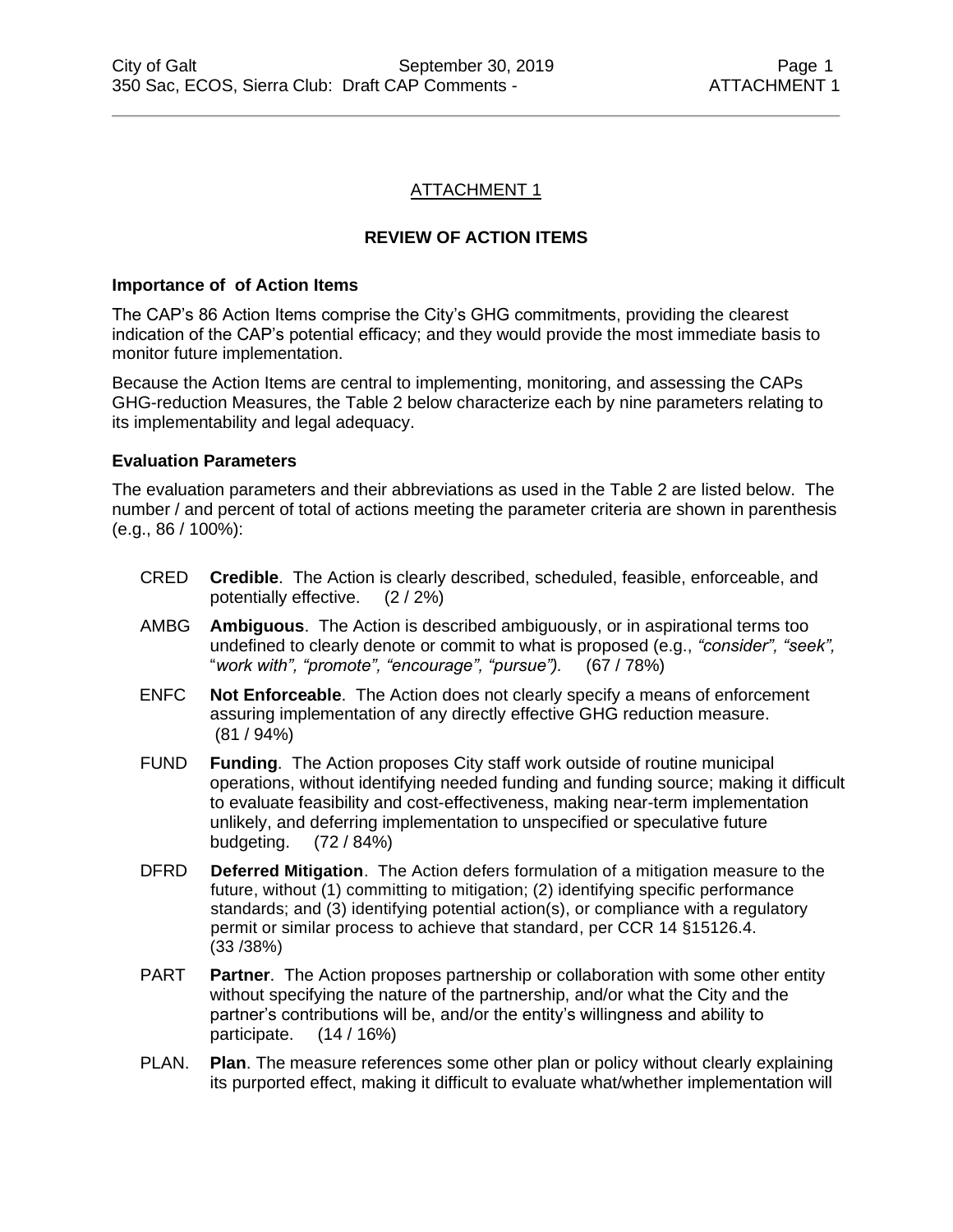#### ATTACHMENT 1

#### **REVIEW OF ACTION ITEMS**

#### **Importance of of Action Items**

The CAP's 86 Action Items comprise the City's GHG commitments, providing the clearest indication of the CAP's potential efficacy; and they would provide the most immediate basis to monitor future implementation.

Because the Action Items are central to implementing, monitoring, and assessing the CAPs GHG-reduction Measures, the Table 2 below characterize each by nine parameters relating to its implementability and legal adequacy.

#### **Evaluation Parameters**

The evaluation parameters and their abbreviations as used in the Table 2 are listed below. The number / and percent of total of actions meeting the parameter criteria are shown in parenthesis (e.g., 86 / 100%):

- CRED **Credible**. The Action is clearly described, scheduled, feasible, enforceable, and potentially effective. (2 / 2%)
- AMBG **Ambiguous**. The Action is described ambiguously, or in aspirational terms too undefined to clearly denote or commit to what is proposed (e.g., *"consider", "seek",*  "*work with", "promote", "encourage", "pursue").* (67 / 78%)
- ENFC **Not Enforceable**. The Action does not clearly specify a means of enforcement assuring implementation of any directly effective GHG reduction measure. (81 / 94%)
- FUND **Funding**. The Action proposes City staff work outside of routine municipal operations, without identifying needed funding and funding source; making it difficult to evaluate feasibility and cost-effectiveness, making near-term implementation unlikely, and deferring implementation to unspecified or speculative future budgeting. (72 / 84%)
- DFRD **Deferred Mitigation**. The Action defers formulation of a mitigation measure to the future, without (1) committing to mitigation; (2) identifying specific performance standards; and (3) identifying potential action(s), or compliance with a regulatory permit or similar process to achieve that standard, per CCR 14 §15126.4. (33 /38%)
- PART **Partner**. The Action proposes partnership or collaboration with some other entity without specifying the nature of the partnership, and/or what the City and the partner's contributions will be, and/or the entity's willingness and ability to participate. (14 / 16%)
- PLAN. **Plan**. The measure references some other plan or policy without clearly explaining its purported effect, making it difficult to evaluate what/whether implementation will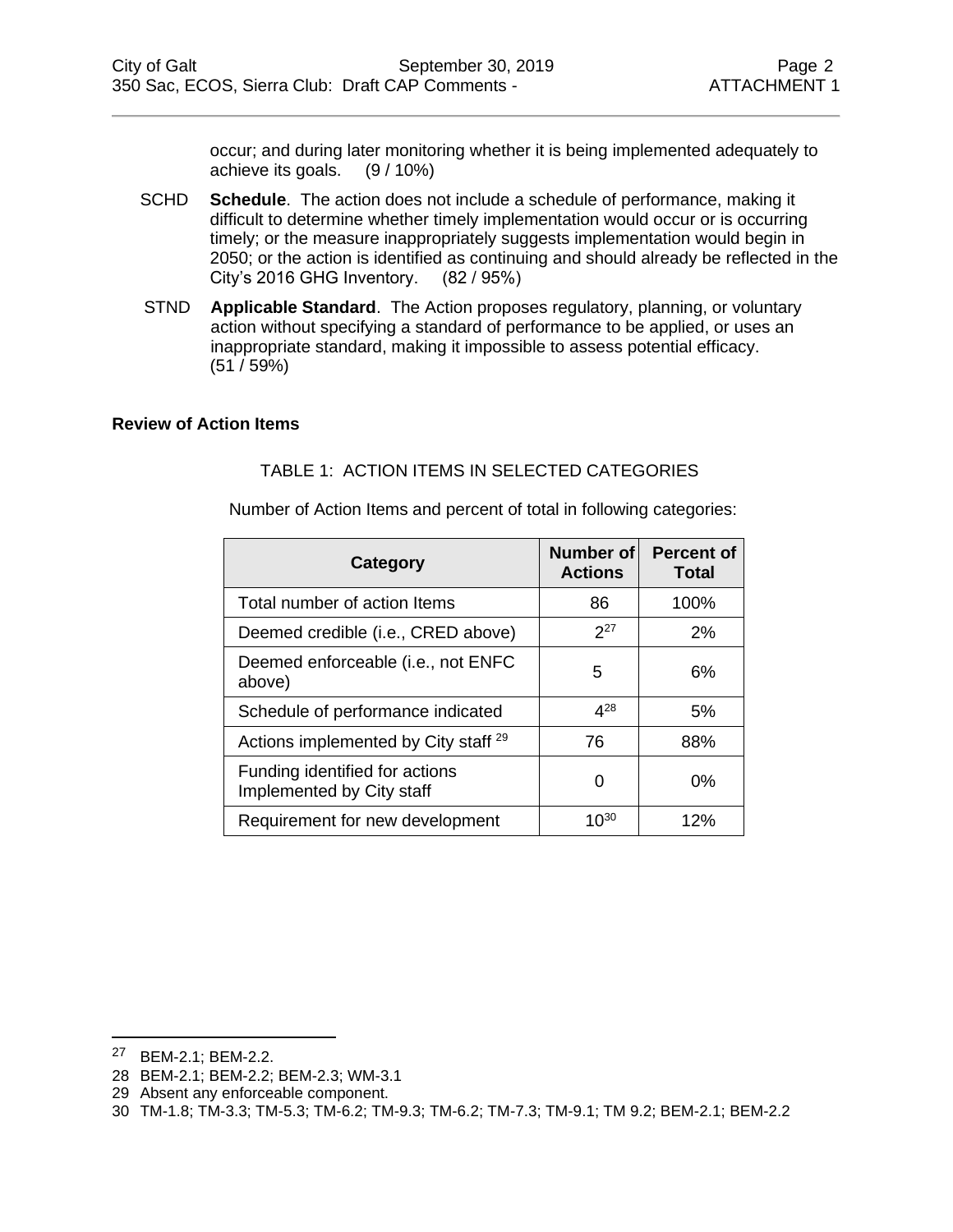occur; and during later monitoring whether it is being implemented adequately to achieve its goals. (9 / 10%)

- SCHD **Schedule**. The action does not include a schedule of performance, making it difficult to determine whether timely implementation would occur or is occurring timely; or the measure inappropriately suggests implementation would begin in 2050; or the action is identified as continuing and should already be reflected in the City's 2016 GHG Inventory. (82 / 95%)
- STND **Applicable Standard**. The Action proposes regulatory, planning, or voluntary action without specifying a standard of performance to be applied, or uses an inappropriate standard, making it impossible to assess potential efficacy. (51 / 59%)

#### **Review of Action Items**

#### TABLE 1: ACTION ITEMS IN SELECTED CATEGORIES

Number of Action Items and percent of total in following categories:

| Category                                                    | Number of<br><b>Actions</b> | <b>Percent of</b><br><b>Total</b> |
|-------------------------------------------------------------|-----------------------------|-----------------------------------|
| Total number of action Items                                | 86                          | 100%                              |
| Deemed credible (i.e., CRED above)                          | $2^{27}$                    | 2%                                |
| Deemed enforceable (i.e., not ENFC<br>above)                | 5                           | 6%                                |
| Schedule of performance indicated                           | $4^{28}$                    | 5%                                |
| Actions implemented by City staff <sup>29</sup>             | 76                          | 88%                               |
| Funding identified for actions<br>Implemented by City staff | O                           | $0\%$                             |
| Requirement for new development                             | $10^{30}$                   | 12%                               |

<sup>27</sup> BEM-2.1; BEM-2.2.

<sup>28</sup> BEM-2.1; BEM-2.2; BEM-2.3; WM-3.1

<sup>29</sup> Absent any enforceable component.

<sup>30</sup> TM-1.8; TM-3.3; TM-5.3; TM-6.2; TM-9.3; TM-6.2; TM-7.3; TM-9.1; TM 9.2; BEM-2.1; BEM-2.2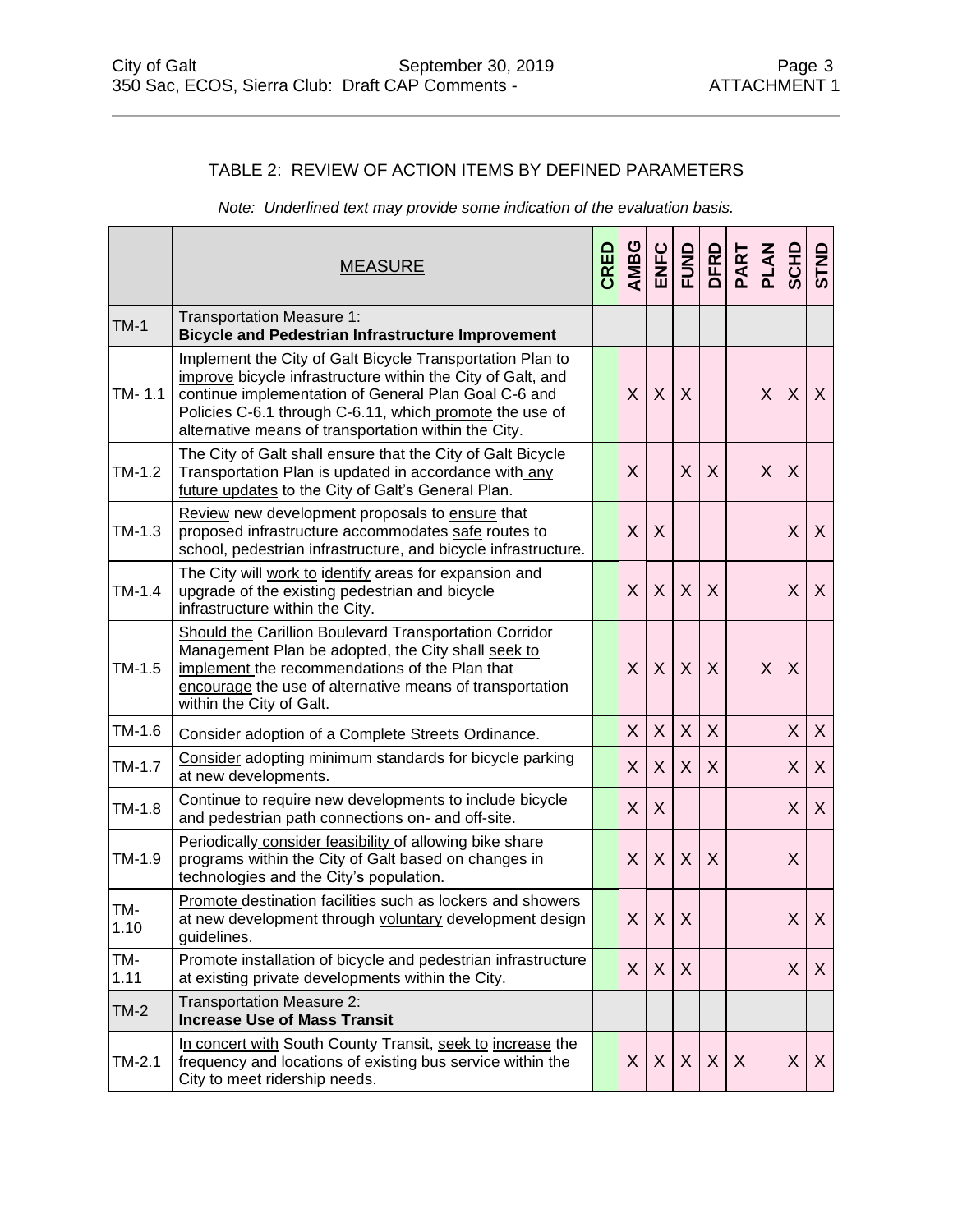#### TABLE 2: REVIEW OF ACTION ITEMS BY DEFINED PARAMETERS

*Note: Underlined text may provide some indication of the evaluation basis.*

|             | <b>MEASURE</b>                                                                                                                                                                                                                                                                                      | CRED | <b>AMBG</b>  |              |          |         | PART | PLAN         |         | <b>ONLS</b>               |
|-------------|-----------------------------------------------------------------------------------------------------------------------------------------------------------------------------------------------------------------------------------------------------------------------------------------------------|------|--------------|--------------|----------|---------|------|--------------|---------|---------------------------|
| $TM-1$      | <b>Transportation Measure 1:</b><br><b>Bicycle and Pedestrian Infrastructure Improvement</b>                                                                                                                                                                                                        |      |              |              |          |         |      |              |         |                           |
| TM-1.1      | Implement the City of Galt Bicycle Transportation Plan to<br>improve bicycle infrastructure within the City of Galt, and<br>continue implementation of General Plan Goal C-6 and<br>Policies C-6.1 through C-6.11, which promote the use of<br>alternative means of transportation within the City. |      | X            | X            | X        |         |      | $\mathsf{X}$ | $\sf X$ | X                         |
| $TM-1.2$    | The City of Galt shall ensure that the City of Galt Bicycle<br>Transportation Plan is updated in accordance with_any<br>future updates to the City of Galt's General Plan.                                                                                                                          |      | X            |              | X        | X       |      | X            | X       |                           |
| $TM-1.3$    | Review new development proposals to ensure that<br>proposed infrastructure accommodates safe routes to<br>school, pedestrian infrastructure, and bicycle infrastructure.                                                                                                                            |      | X.           | X            |          |         |      |              | X       | X                         |
| $TM-1.4$    | The City will work to identify areas for expansion and<br>upgrade of the existing pedestrian and bicycle<br>infrastructure within the City.                                                                                                                                                         |      | $\mathsf{X}$ | $\sf X$      | X        | X       |      |              | X       | X                         |
| $TM-1.5$    | Should the Carillion Boulevard Transportation Corridor<br>Management Plan be adopted, the City shall seek to<br>implement the recommendations of the Plan that<br>encourage the use of alternative means of transportation<br>within the City of Galt.                                              |      | $\mathsf{X}$ | $\sf X$      | $\times$ | $\sf X$ |      | X            | X       |                           |
| TM-1.6      | Consider adoption of a Complete Streets Ordinance.                                                                                                                                                                                                                                                  |      | X.           | $\times$     | X        | X       |      |              | X       | $\times$                  |
| $TM-1.7$    | Consider adopting minimum standards for bicycle parking<br>at new developments.                                                                                                                                                                                                                     |      | $\mathsf{X}$ | X            | $\sf X$  | X       |      |              | X       | X                         |
| $TM-1.8$    | Continue to require new developments to include bicycle<br>and pedestrian path connections on- and off-site.                                                                                                                                                                                        |      | X            | X            |          |         |      |              | X       | X                         |
| TM-1.9      | Periodically consider feasibility of allowing bike share<br>programs within the City of Galt based on changes in<br>technologies and the City's population.                                                                                                                                         |      | $\mathsf{X}$ | X            | $\times$ | X       |      |              | X       |                           |
| TM-<br>1.10 | Promote destination facilities such as lockers and showers<br>at new development through voluntary development design<br>guidelines.                                                                                                                                                                |      |              | $X$ $X$      | $\sf X$  |         |      |              | X       | $\sf X$                   |
| TM-<br>1.11 | Promote installation of bicycle and pedestrian infrastructure<br>at existing private developments within the City.                                                                                                                                                                                  |      | $\times$     | $\mathsf{X}$ | X        |         |      |              | X       | X                         |
| $TM-2$      | Transportation Measure 2:<br><b>Increase Use of Mass Transit</b>                                                                                                                                                                                                                                    |      |              |              |          |         |      |              |         |                           |
| $TM-2.1$    | In concert with South County Transit, seek to increase the<br>frequency and locations of existing bus service within the<br>City to meet ridership needs.                                                                                                                                           |      |              | $X$ $X$      | X        | X       | X    |              | X       | $\boldsymbol{\mathsf{X}}$ |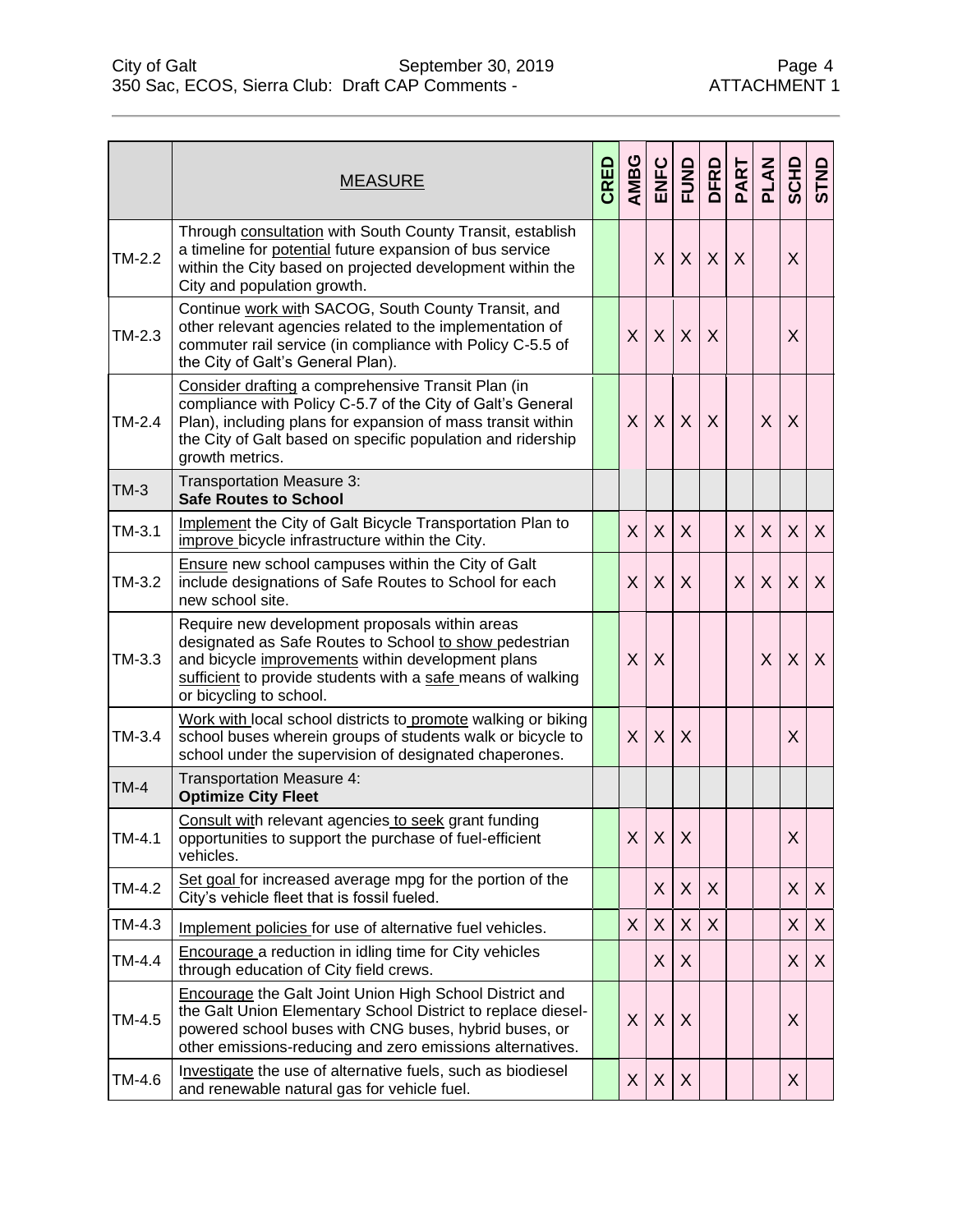|          | <b>MEASURE</b>                                                                                                                                                                                                                                                    | CRED | AMBG         | ENFC         | <b>FUND</b> | <b>DFRD</b>      | PART    | PLAN    | <b>SCHD</b> | <b>GTND</b> |
|----------|-------------------------------------------------------------------------------------------------------------------------------------------------------------------------------------------------------------------------------------------------------------------|------|--------------|--------------|-------------|------------------|---------|---------|-------------|-------------|
| $TM-2.2$ | Through consultation with South County Transit, establish<br>a timeline for potential future expansion of bus service<br>within the City based on projected development within the<br>City and population growth.                                                 |      |              | X            | X           | $\boldsymbol{X}$ | X       |         | X           |             |
| $TM-2.3$ | Continue work with SACOG, South County Transit, and<br>other relevant agencies related to the implementation of<br>commuter rail service (in compliance with Policy C-5.5 of<br>the City of Galt's General Plan).                                                 |      | $\mathsf{X}$ | $\sf X$      | $\sf X$     | X                |         |         | X           |             |
| $TM-2.4$ | Consider drafting a comprehensive Transit Plan (in<br>compliance with Policy C-5.7 of the City of Galt's General<br>Plan), including plans for expansion of mass transit within<br>the City of Galt based on specific population and ridership<br>growth metrics. |      | X            | X            | $\sf X$     | $\sf X$          |         | $\sf X$ | X           |             |
| $TM-3$   | Transportation Measure 3:<br><b>Safe Routes to School</b>                                                                                                                                                                                                         |      |              |              |             |                  |         |         |             |             |
| $TM-3.1$ | <b>Implement the City of Galt Bicycle Transportation Plan to</b><br>improve bicycle infrastructure within the City.                                                                                                                                               |      | X            | $\mathsf{X}$ | $\sf X$     |                  | $\sf X$ | $\sf X$ | $\sf X$     | X           |
| $TM-3.2$ | <b>Ensure new school campuses within the City of Galt</b><br>include designations of Safe Routes to School for each<br>new school site.                                                                                                                           |      | $\mathsf{X}$ | X            | $\sf X$     |                  | $\sf X$ | X       | X           | X           |
| $TM-3.3$ | Require new development proposals within areas<br>designated as Safe Routes to School to show pedestrian<br>and bicycle improvements within development plans<br>sufficient to provide students with a safe means of walking<br>or bicycling to school.           |      | $\mathsf{X}$ | X            |             |                  |         | $\sf X$ | $\sf X$     | X           |
| $TM-3.4$ | Work with local school districts to promote walking or biking<br>school buses wherein groups of students walk or bicycle to<br>school under the supervision of designated chaperones.                                                                             |      | X            | X            | X           |                  |         |         | X           |             |
| $TM-4$   | <b>Transportation Measure 4:</b><br><b>Optimize City Fleet</b>                                                                                                                                                                                                    |      |              |              |             |                  |         |         |             |             |
| TM-4.1   | Consult with relevant agencies to seek grant funding<br>opportunities to support the purchase of fuel-efficient<br>vehicles.                                                                                                                                      |      |              | $X$ $X$ $X$  |             |                  |         |         | $\mathsf X$ |             |
| TM-4.2   | Set goal for increased average mpg for the portion of the<br>City's vehicle fleet that is fossil fueled.                                                                                                                                                          |      |              | X            | X           | X                |         |         | X           | X           |
| TM-4.3   | Implement policies for use of alternative fuel vehicles.                                                                                                                                                                                                          |      | X.           | X            | X           | X                |         |         | X           | X           |
| TM-4.4   | Encourage a reduction in idling time for City vehicles<br>through education of City field crews.                                                                                                                                                                  |      |              | X.           | X           |                  |         |         | X           | X           |
| TM-4.5   | <b>Encourage the Galt Joint Union High School District and</b><br>the Galt Union Elementary School District to replace diesel-<br>powered school buses with CNG buses, hybrid buses, or<br>other emissions-reducing and zero emissions alternatives.              |      | X            | X            | X           |                  |         |         | X           |             |
| TM-4.6   | Investigate the use of alternative fuels, such as biodiesel<br>and renewable natural gas for vehicle fuel.                                                                                                                                                        |      | X.           | X            | X           |                  |         |         | X           |             |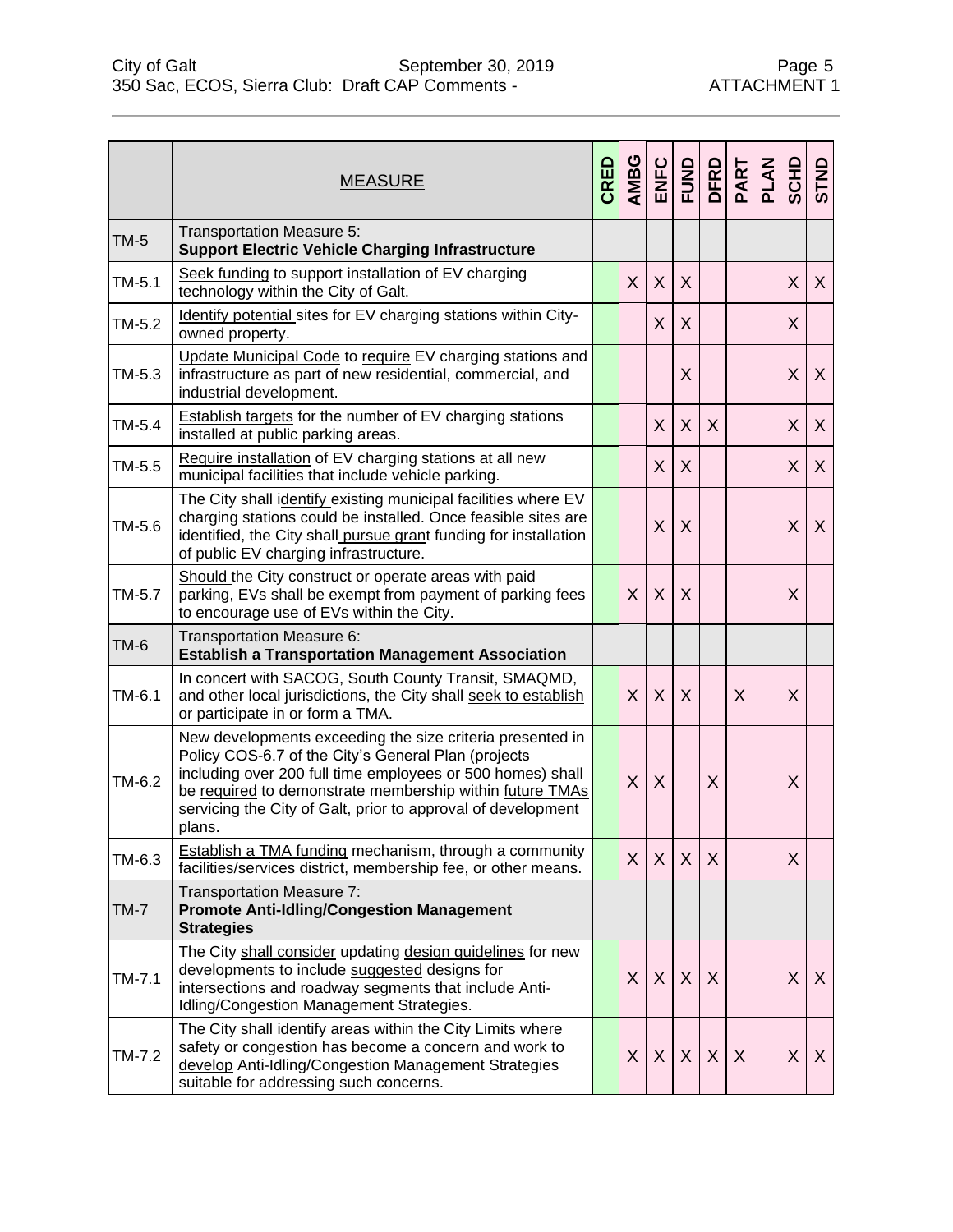|          | <b>MEASURE</b>                                                                                                                                                                                                                                                                                                       | CRED | AMBG         |         |                           |              |   | PLAN | <b>SCHD</b> | <b>GTND</b> |
|----------|----------------------------------------------------------------------------------------------------------------------------------------------------------------------------------------------------------------------------------------------------------------------------------------------------------------------|------|--------------|---------|---------------------------|--------------|---|------|-------------|-------------|
| $TM-5$   | Transportation Measure 5:<br><b>Support Electric Vehicle Charging Infrastructure</b>                                                                                                                                                                                                                                 |      |              |         |                           |              |   |      |             |             |
| $TM-5.1$ | Seek funding to support installation of EV charging<br>technology within the City of Galt.                                                                                                                                                                                                                           |      | X            | X       | $\sf X$                   |              |   |      | X           | X           |
| TM-5.2   | Identify potential sites for EV charging stations within City-<br>owned property.                                                                                                                                                                                                                                    |      |              | X       | X                         |              |   |      | $\sf X$     |             |
| TM-5.3   | Update Municipal Code to require EV charging stations and<br>infrastructure as part of new residential, commercial, and<br>industrial development.                                                                                                                                                                   |      |              |         | X                         |              |   |      | $\sf X$     | X           |
| TM-5.4   | Establish targets for the number of EV charging stations<br>installed at public parking areas.                                                                                                                                                                                                                       |      |              | X       | X                         | X            |   |      | X           | X           |
| TM-5.5   | Require installation of EV charging stations at all new<br>municipal facilities that include vehicle parking.                                                                                                                                                                                                        |      |              | X       | X                         |              |   |      | X           | X           |
| TM-5.6   | The City shall identify existing municipal facilities where EV<br>charging stations could be installed. Once feasible sites are<br>identified, the City shall pursue grant funding for installation<br>of public EV charging infrastructure.                                                                         |      |              | X       | X                         |              |   |      | $\sf X$     | X           |
| TM-5.7   | Should the City construct or operate areas with paid<br>parking, EVs shall be exempt from payment of parking fees<br>to encourage use of EVs within the City.                                                                                                                                                        |      | $\sf X$      | $\sf X$ | X                         |              |   |      | X           |             |
| TM-6     | Transportation Measure 6:<br><b>Establish a Transportation Management Association</b>                                                                                                                                                                                                                                |      |              |         |                           |              |   |      |             |             |
| TM-6.1   | In concert with SACOG, South County Transit, SMAQMD,<br>and other local jurisdictions, the City shall seek to establish<br>or participate in or form a TMA.                                                                                                                                                          |      | $\sf X$      | X       | $\sf X$                   |              | X |      | X           |             |
| TM-6.2   | New developments exceeding the size criteria presented in<br>Policy COS-6.7 of the City's General Plan (projects<br>including over 200 full time employees or 500 homes) shall<br>be required to demonstrate membership within future TMAs<br>servicing the City of Galt, prior to approval of development<br>plans. |      | $\sf X$      | X       |                           | X            |   |      | X           |             |
| TM-6.3   | <b>Establish a TMA funding mechanism, through a community</b><br>facilities/services district, membership fee, or other means.                                                                                                                                                                                       |      | X            | X       | $\sf X$                   | $\sf X$      |   |      | X           |             |
| $TM-7$   | Transportation Measure 7:<br><b>Promote Anti-Idling/Congestion Management</b><br><b>Strategies</b>                                                                                                                                                                                                                   |      |              |         |                           |              |   |      |             |             |
| $TM-7.1$ | The City shall consider updating design guidelines for new<br>developments to include suggested designs for<br>intersections and roadway segments that include Anti-<br>Idling/Congestion Management Strategies.                                                                                                     |      | $\mathsf{X}$ | X       | $\sf X$                   | X            |   |      | X           | X           |
| TM-7.2   | The City shall identify areas within the City Limits where<br>safety or congestion has become a concern and work to<br>develop Anti-Idling/Congestion Management Strategies<br>suitable for addressing such concerns.                                                                                                |      | X            | X       | $\boldsymbol{\mathsf{X}}$ | $\mathsf{X}$ | X |      | X           | X           |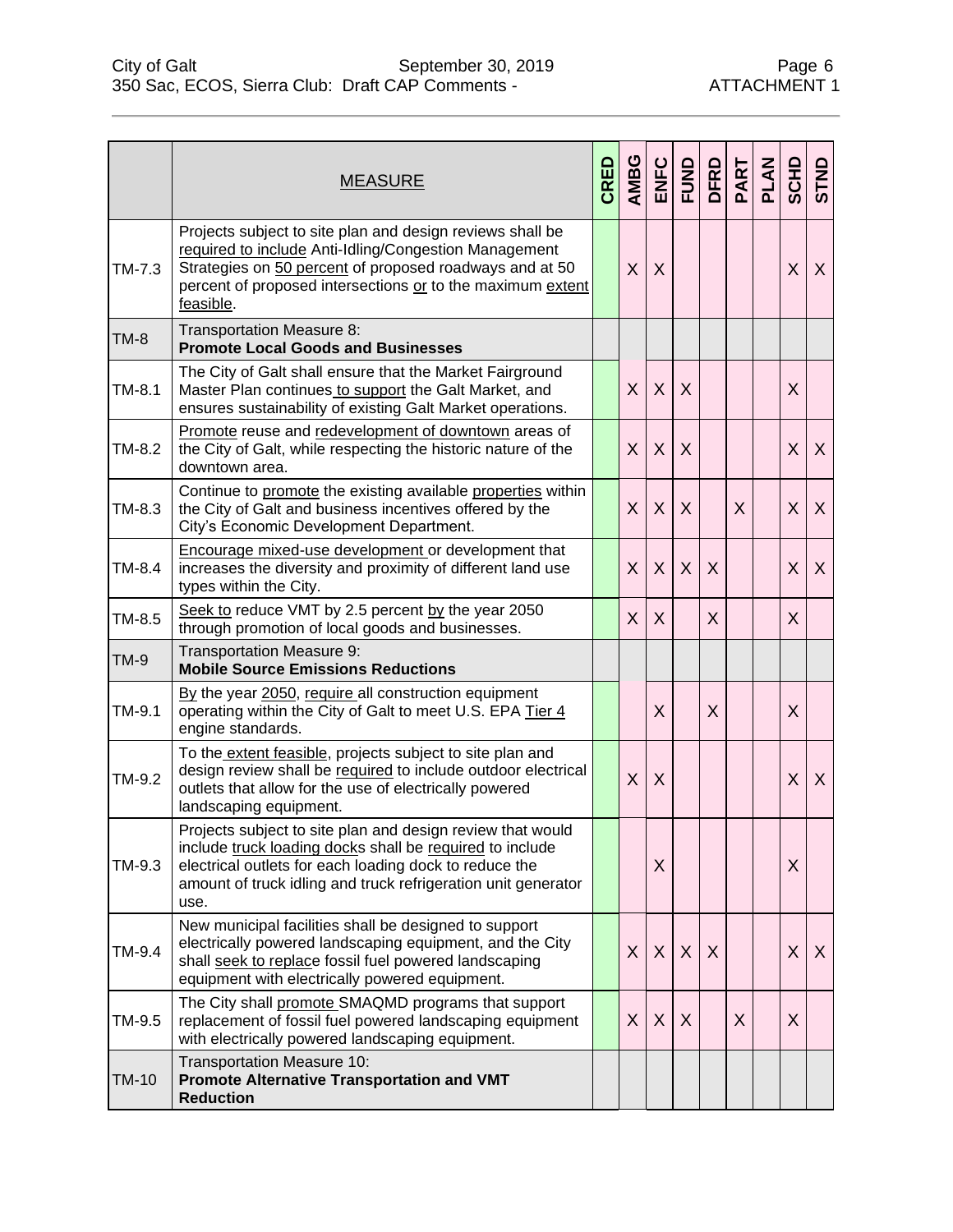|          | <b>MEASURE</b>                                                                                                                                                                                                                                            | CRED | AMBG         |              | ENFC<br>FUND | <b>DFRD</b> | PART | PLAN | <b>SCHD</b> | <b>GTND</b> |
|----------|-----------------------------------------------------------------------------------------------------------------------------------------------------------------------------------------------------------------------------------------------------------|------|--------------|--------------|--------------|-------------|------|------|-------------|-------------|
| $TM-7.3$ | Projects subject to site plan and design reviews shall be<br>required to include Anti-Idling/Congestion Management<br>Strategies on 50 percent of proposed roadways and at 50<br>percent of proposed intersections or to the maximum extent<br>feasible.  |      | $\mathsf{X}$ | X            |              |             |      |      | X           | X           |
| $TM-8$   | Transportation Measure 8:<br><b>Promote Local Goods and Businesses</b>                                                                                                                                                                                    |      |              |              |              |             |      |      |             |             |
| $TM-8.1$ | The City of Galt shall ensure that the Market Fairground<br>Master Plan continues to support the Galt Market, and<br>ensures sustainability of existing Galt Market operations.                                                                           |      | X            | $\sf X$      | X            |             |      |      | X           |             |
| TM-8.2   | Promote reuse and redevelopment of downtown areas of<br>the City of Galt, while respecting the historic nature of the<br>downtown area.                                                                                                                   |      | $\mathsf{X}$ | X            | $\sf X$      |             |      |      | X           | X           |
| TM-8.3   | Continue to promote the existing available properties within<br>the City of Galt and business incentives offered by the<br>City's Economic Development Department.                                                                                        |      | X            | $\sf X$      | X            |             | X    |      | $\sf X$     | X           |
| TM-8.4   | Encourage mixed-use development or development that<br>increases the diversity and proximity of different land use<br>types within the City.                                                                                                              |      | $\times$     | X            | X            | X           |      |      | X           | X           |
| TM-8.5   | Seek to reduce VMT by 2.5 percent by the year 2050<br>through promotion of local goods and businesses.                                                                                                                                                    |      | $\sf X$      | X            |              | $\sf X$     |      |      | X           |             |
| $TM-9$   | Transportation Measure 9:<br><b>Mobile Source Emissions Reductions</b>                                                                                                                                                                                    |      |              |              |              |             |      |      |             |             |
| TM-9.1   | By the year 2050, require all construction equipment<br>operating within the City of Galt to meet U.S. EPA Tier 4<br>engine standards.                                                                                                                    |      |              | X            |              | X           |      |      | X           |             |
| TM-9.2   | To the extent feasible, projects subject to site plan and<br>design review shall be required to include outdoor electrical<br>outlets that allow for the use of electrically powered<br>landscaping equipment.                                            |      | $\mathsf{X}$ | X            |              |             |      |      | X           | X           |
| TM-9.3   | Projects subject to site plan and design review that would<br>include truck loading docks shall be required to include<br>electrical outlets for each loading dock to reduce the<br>amount of truck idling and truck refrigeration unit generator<br>use. |      |              | Χ            |              |             |      |      | X           |             |
| TM-9.4   | New municipal facilities shall be designed to support<br>electrically powered landscaping equipment, and the City<br>shall seek to replace fossil fuel powered landscaping<br>equipment with electrically powered equipment.                              |      | X            | $\mathsf{X}$ | $\sf X$      | $\chi$      |      |      | X           | X           |
| TM-9.5   | The City shall promote SMAQMD programs that support<br>replacement of fossil fuel powered landscaping equipment<br>with electrically powered landscaping equipment.                                                                                       |      | X            | X            | X            |             | X    |      | X           |             |
| TM-10    | Transportation Measure 10:<br><b>Promote Alternative Transportation and VMT</b><br><b>Reduction</b>                                                                                                                                                       |      |              |              |              |             |      |      |             |             |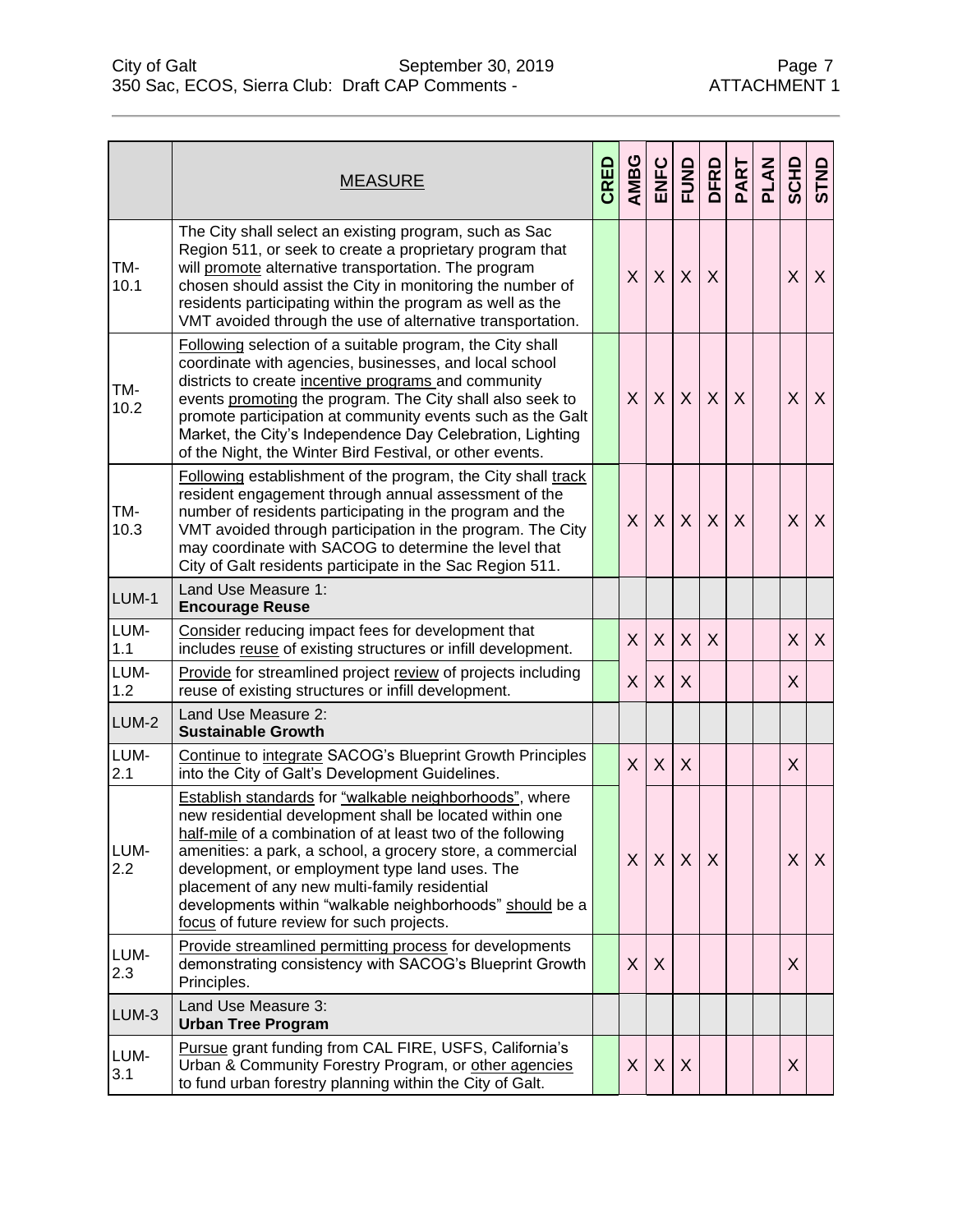|             | <b>MEASURE</b>                                                                                                                                                                                                                                                                                                                                                                                                                                              | CRED | <b>AMBG</b> |              |              |         | PART    | PLAN | <b>ONLS</b> |   |
|-------------|-------------------------------------------------------------------------------------------------------------------------------------------------------------------------------------------------------------------------------------------------------------------------------------------------------------------------------------------------------------------------------------------------------------------------------------------------------------|------|-------------|--------------|--------------|---------|---------|------|-------------|---|
| TM-<br>10.1 | The City shall select an existing program, such as Sac<br>Region 511, or seek to create a proprietary program that<br>will promote alternative transportation. The program<br>chosen should assist the City in monitoring the number of<br>residents participating within the program as well as the<br>VMT avoided through the use of alternative transportation.                                                                                          |      | X           | $\mathsf{X}$ | $\times$     | X       |         |      | X           | X |
| TM-<br>10.2 | Following selection of a suitable program, the City shall<br>coordinate with agencies, businesses, and local school<br>districts to create incentive programs and community<br>events promoting the program. The City shall also seek to<br>promote participation at community events such as the Galt<br>Market, the City's Independence Day Celebration, Lighting<br>of the Night, the Winter Bird Festival, or other events.                             |      | X           | $\mathsf{X}$ | $\sf X$      | $\sf X$ | $\sf X$ |      | X           | X |
| TM-<br>10.3 | Following establishment of the program, the City shall track<br>resident engagement through annual assessment of the<br>number of residents participating in the program and the<br>VMT avoided through participation in the program. The City<br>may coordinate with SACOG to determine the level that<br>City of Galt residents participate in the Sac Region 511.                                                                                        |      | X           | X            | $\sf X$      | $\sf X$ | $\sf X$ |      | X           | X |
| LUM-1       | Land Use Measure 1:<br><b>Encourage Reuse</b>                                                                                                                                                                                                                                                                                                                                                                                                               |      |             |              |              |         |         |      |             |   |
| LUM-<br>1.1 | Consider reducing impact fees for development that<br>includes reuse of existing structures or infill development.                                                                                                                                                                                                                                                                                                                                          |      | X           | $\mathsf{X}$ | $\sf X$      | $\sf X$ |         |      | $\sf X$     | X |
| LUM-<br>1.2 | <b>Provide for streamlined project review of projects including</b><br>reuse of existing structures or infill development.                                                                                                                                                                                                                                                                                                                                  |      | X           | $\sf X$      | X            |         |         |      | X           |   |
| LUM-2       | Land Use Measure 2:<br><b>Sustainable Growth</b>                                                                                                                                                                                                                                                                                                                                                                                                            |      |             |              |              |         |         |      |             |   |
| LUM-<br>2.1 | Continue to integrate SACOG's Blueprint Growth Principles<br>into the City of Galt's Development Guidelines.                                                                                                                                                                                                                                                                                                                                                |      | X           | X            | X            |         |         |      | X           |   |
| LUM-<br>2.2 | Establish standards for "walkable neighborhoods", where<br>new residential development shall be located within one<br>half-mile of a combination of at least two of the following<br>amenities: a park, a school, a grocery store, a commercial<br>development, or employment type land uses. The<br>placement of any new multi-family residential<br>developments within "walkable neighborhoods" should be a<br>focus of future review for such projects. |      | X           | X            | $\mathsf{X}$ | $\sf X$ |         |      | X           | X |
| LUM-<br>2.3 | Provide streamlined permitting process for developments<br>demonstrating consistency with SACOG's Blueprint Growth<br>Principles.                                                                                                                                                                                                                                                                                                                           |      | X           | X            |              |         |         |      | X           |   |
| LUM-3       | Land Use Measure 3:<br><b>Urban Tree Program</b>                                                                                                                                                                                                                                                                                                                                                                                                            |      |             |              |              |         |         |      |             |   |
| LUM-<br>3.1 | Pursue grant funding from CAL FIRE, USFS, California's<br>Urban & Community Forestry Program, or other agencies<br>to fund urban forestry planning within the City of Galt.                                                                                                                                                                                                                                                                                 |      | X           | X            | X            |         |         |      | X           |   |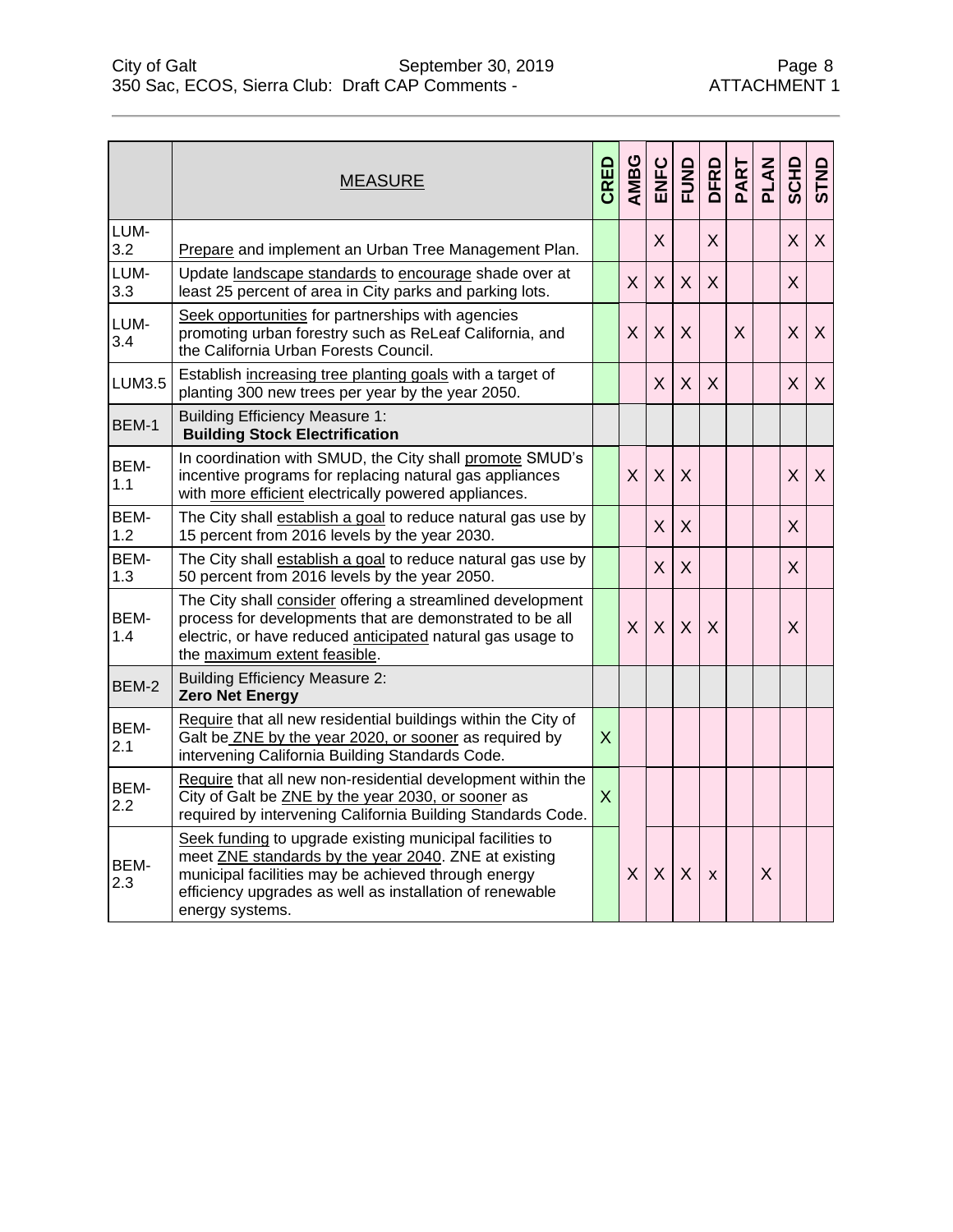|             | <b>MEASURE</b>                                                                                                                                                                                                                                         | CRED           | AMBG | ENFC         | <b>FUND</b> | DFRD         | PART | <b>PLAN</b> | SCHD         | STND |
|-------------|--------------------------------------------------------------------------------------------------------------------------------------------------------------------------------------------------------------------------------------------------------|----------------|------|--------------|-------------|--------------|------|-------------|--------------|------|
| LUM-<br>3.2 | Prepare and implement an Urban Tree Management Plan.                                                                                                                                                                                                   |                |      | $\mathsf{X}$ |             | $\mathsf{X}$ |      |             | $\sf X$      | X    |
| LUM-<br>3.3 | Update landscape standards to encourage shade over at<br>least 25 percent of area in City parks and parking lots.                                                                                                                                      |                | X    | $\mathsf{X}$ | $\sf X$     | $\mathsf{X}$ |      |             | $\mathsf{X}$ |      |
| LUM-<br>3.4 | Seek opportunities for partnerships with agencies<br>promoting urban forestry such as ReLeaf California, and<br>the California Urban Forests Council.                                                                                                  |                | X    | X            | X           |              | X    |             | $\sf X$      | X    |
| LUM3.5      | Establish increasing tree planting goals with a target of<br>planting 300 new trees per year by the year 2050.                                                                                                                                         |                |      | X            | $\sf X$     | X            |      |             | $\sf X$      | X    |
| BEM-1       | <b>Building Efficiency Measure 1:</b><br><b>Building Stock Electrification</b>                                                                                                                                                                         |                |      |              |             |              |      |             |              |      |
| BEM-<br>1.1 | In coordination with SMUD, the City shall promote SMUD's<br>incentive programs for replacing natural gas appliances<br>with more efficient electrically powered appliances.                                                                            |                | X    | X            | X           |              |      |             | X            | X    |
| BEM-<br>1.2 | The City shall establish a goal to reduce natural gas use by<br>15 percent from 2016 levels by the year 2030.                                                                                                                                          |                |      | $\mathsf{X}$ | $\sf X$     |              |      |             | X            |      |
| BEM-<br>1.3 | The City shall establish a goal to reduce natural gas use by<br>50 percent from 2016 levels by the year 2050.                                                                                                                                          |                |      | $\mathsf{X}$ | $\sf X$     |              |      |             | X            |      |
| BEM-<br>1.4 | The City shall consider offering a streamlined development<br>process for developments that are demonstrated to be all<br>electric, or have reduced anticipated natural gas usage to<br>the maximum extent feasible.                                   |                | X    | X            | $\sf X$     | $\times$     |      |             | X            |      |
| BEM-2       | <b>Building Efficiency Measure 2:</b><br><b>Zero Net Energy</b>                                                                                                                                                                                        |                |      |              |             |              |      |             |              |      |
| BEM-<br>2.1 | Require that all new residential buildings within the City of<br>Galt be ZNE by the year 2020, or sooner as required by<br>intervening California Building Standards Code.                                                                             | $\mathsf{X}$   |      |              |             |              |      |             |              |      |
| BEM-<br>2.2 | Require that all new non-residential development within the<br>City of Galt be ZNE by the year 2030, or sooner as<br>required by intervening California Building Standards Code.                                                                       | $\overline{X}$ |      |              |             |              |      |             |              |      |
| BEM-<br>2.3 | Seek funding to upgrade existing municipal facilities to<br>meet ZNE standards by the year 2040. ZNE at existing<br>municipal facilities may be achieved through energy<br>efficiency upgrades as well as installation of renewable<br>energy systems. |                | X    | X            | X           | X            |      | X           |              |      |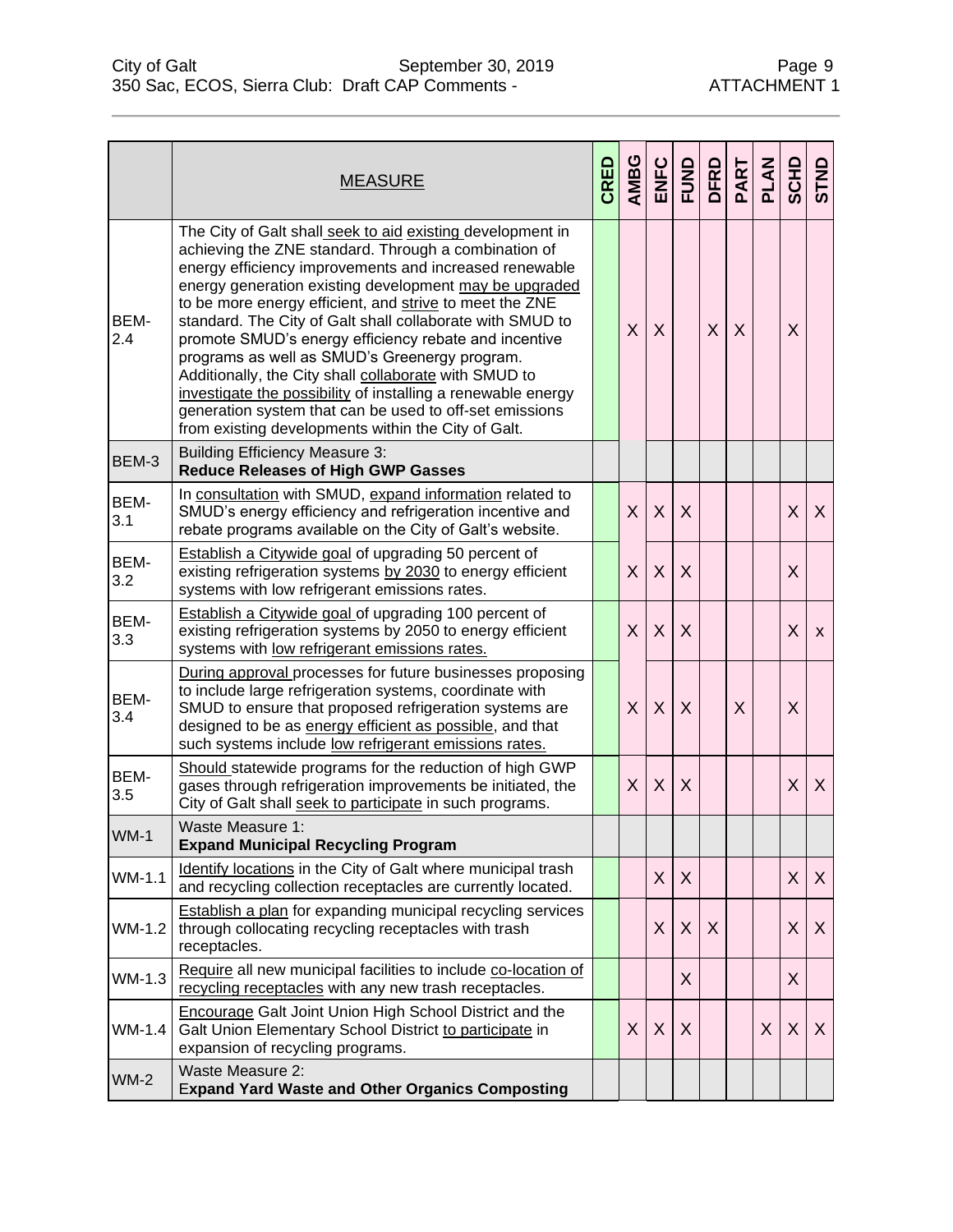|             | <b>MEASURE</b>                                                                                                                                                                                                                                                                                                                                                                                                                                                                                                                                                                                                                                                                                                      | CRED | AMBG         |         | ENFC<br>FUND | DFRD         | PART | PLAN | SCHD | STND |
|-------------|---------------------------------------------------------------------------------------------------------------------------------------------------------------------------------------------------------------------------------------------------------------------------------------------------------------------------------------------------------------------------------------------------------------------------------------------------------------------------------------------------------------------------------------------------------------------------------------------------------------------------------------------------------------------------------------------------------------------|------|--------------|---------|--------------|--------------|------|------|------|------|
| BEM-<br>2.4 | The City of Galt shall seek to aid existing development in<br>achieving the ZNE standard. Through a combination of<br>energy efficiency improvements and increased renewable<br>energy generation existing development may be upgraded<br>to be more energy efficient, and strive to meet the ZNE<br>standard. The City of Galt shall collaborate with SMUD to<br>promote SMUD's energy efficiency rebate and incentive<br>programs as well as SMUD's Greenergy program.<br>Additionally, the City shall collaborate with SMUD to<br>investigate the possibility of installing a renewable energy<br>generation system that can be used to off-set emissions<br>from existing developments within the City of Galt. |      | $\times$     | X       |              | $\mathsf{X}$ | X    |      | X    |      |
| BEM-3       | <b>Building Efficiency Measure 3:</b><br><b>Reduce Releases of High GWP Gasses</b>                                                                                                                                                                                                                                                                                                                                                                                                                                                                                                                                                                                                                                  |      |              |         |              |              |      |      |      |      |
| BEM-<br>3.1 | In consultation with SMUD, expand information related to<br>SMUD's energy efficiency and refrigeration incentive and<br>rebate programs available on the City of Galt's website.                                                                                                                                                                                                                                                                                                                                                                                                                                                                                                                                    |      | $\mathsf{X}$ | $\sf X$ | $\sf X$      |              |      |      | X    | X    |
| BEM-<br>3.2 | Establish a Citywide goal of upgrading 50 percent of<br>existing refrigeration systems by 2030 to energy efficient<br>systems with low refrigerant emissions rates.                                                                                                                                                                                                                                                                                                                                                                                                                                                                                                                                                 |      | X            | X       | $\sf X$      |              |      |      | X    |      |
| BEM-<br>3.3 | <b>Establish a Citywide goal of upgrading 100 percent of</b><br>existing refrigeration systems by 2050 to energy efficient<br>systems with low refrigerant emissions rates.                                                                                                                                                                                                                                                                                                                                                                                                                                                                                                                                         |      | X            | X       | X            |              |      |      | X    | X    |
| BEM-<br>3.4 | During approval processes for future businesses proposing<br>to include large refrigeration systems, coordinate with<br>SMUD to ensure that proposed refrigeration systems are<br>designed to be as energy efficient as possible, and that<br>such systems include low refrigerant emissions rates.                                                                                                                                                                                                                                                                                                                                                                                                                 |      | X            | $\sf X$ | $\sf X$      |              | X    |      | X    |      |
| BEM-<br>3.5 | Should statewide programs for the reduction of high GWP<br>gases through refrigeration improvements be initiated, the<br>City of Galt shall seek to participate in such programs.                                                                                                                                                                                                                                                                                                                                                                                                                                                                                                                                   |      | $\mathsf{X}$ | $\sf X$ | X            |              |      |      | X    | X    |
| $WM-1$      | Waste Measure 1:<br><b>Expand Municipal Recycling Program</b>                                                                                                                                                                                                                                                                                                                                                                                                                                                                                                                                                                                                                                                       |      |              |         |              |              |      |      |      |      |
| WM-1.1      | Identify locations in the City of Galt where municipal trash<br>and recycling collection receptacles are currently located.                                                                                                                                                                                                                                                                                                                                                                                                                                                                                                                                                                                         |      |              | X       | X            |              |      |      | X    | X    |
| WM-1.2      | <b>Establish a plan for expanding municipal recycling services</b><br>through collocating recycling receptacles with trash<br>receptacles.                                                                                                                                                                                                                                                                                                                                                                                                                                                                                                                                                                          |      |              | X       | X            | X            |      |      | X    | X    |
| WM-1.3      | Require all new municipal facilities to include co-location of<br>recycling receptacles with any new trash receptacles.                                                                                                                                                                                                                                                                                                                                                                                                                                                                                                                                                                                             |      |              |         | X            |              |      |      | X    |      |
| WM-1.4      | <b>Encourage Galt Joint Union High School District and the</b><br>Galt Union Elementary School District to participate in<br>expansion of recycling programs.                                                                                                                                                                                                                                                                                                                                                                                                                                                                                                                                                       |      | X            | X       | X            |              |      | X    | X    | X    |
| $WM-2$      | Waste Measure 2:<br><b>Expand Yard Waste and Other Organics Composting</b>                                                                                                                                                                                                                                                                                                                                                                                                                                                                                                                                                                                                                                          |      |              |         |              |              |      |      |      |      |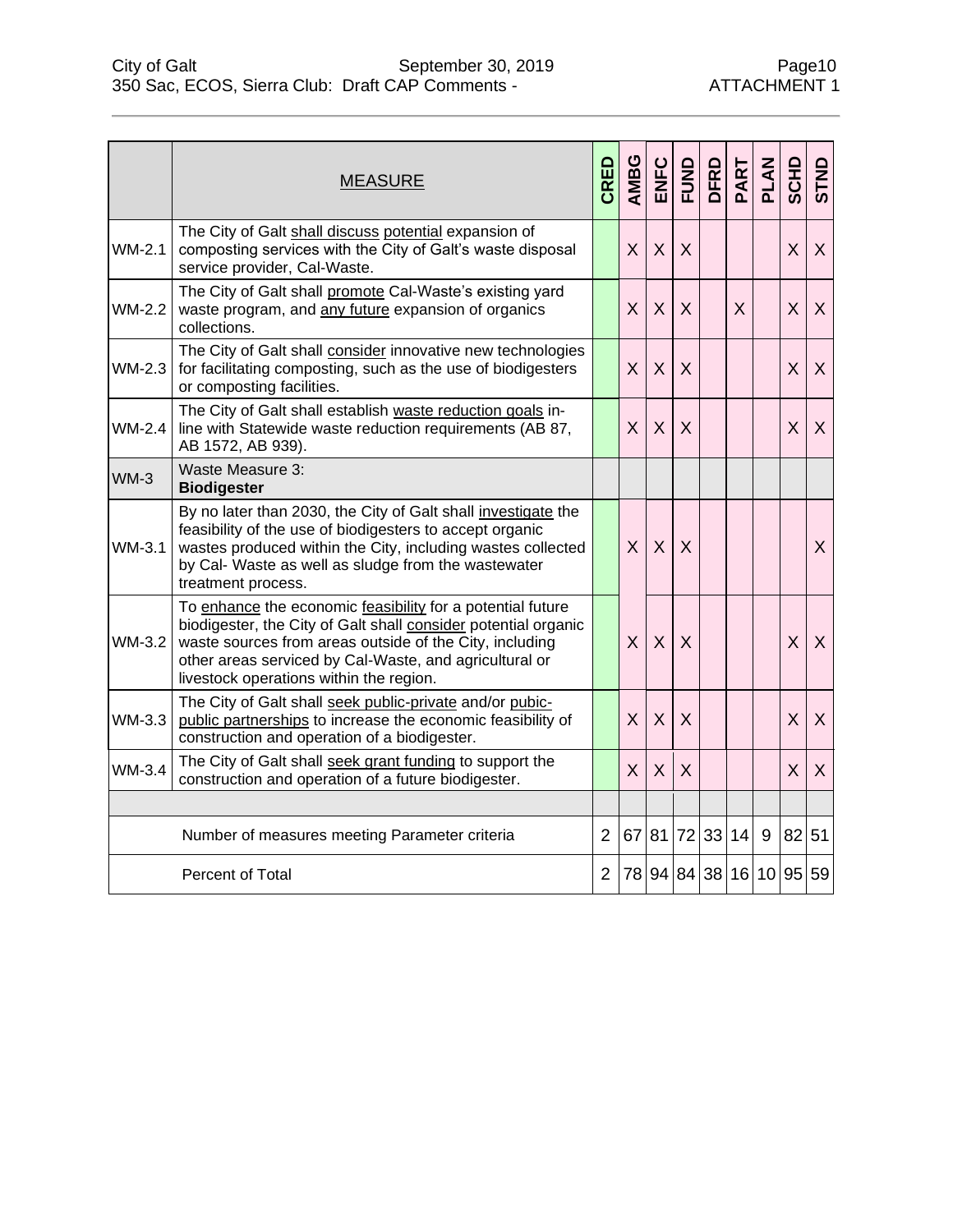|          | <b>MEASURE</b>                                                                                                                                                                                                                                                                               | CRED           | AMBG         | ENFC         | <b>FUND</b> | DFRD                    | PART | <b>PLAN</b> | SCHD    | STND |
|----------|----------------------------------------------------------------------------------------------------------------------------------------------------------------------------------------------------------------------------------------------------------------------------------------------|----------------|--------------|--------------|-------------|-------------------------|------|-------------|---------|------|
| WM-2.1   | The City of Galt shall discuss potential expansion of<br>composting services with the City of Galt's waste disposal<br>service provider, Cal-Waste.                                                                                                                                          |                | $\mathsf{X}$ | $\mathsf{X}$ | X           |                         |      |             | $\sf X$ | X    |
| WM-2.2   | The City of Galt shall promote Cal-Waste's existing yard<br>waste program, and any future expansion of organics<br>collections.                                                                                                                                                              |                | X            | $\sf X$      | $\sf X$     |                         | X    |             | X       | X    |
| WM-2.3   | The City of Galt shall consider innovative new technologies<br>for facilitating composting, such as the use of biodigesters<br>or composting facilities.                                                                                                                                     |                | $\mathsf{X}$ | X            | X           |                         |      |             | X       | X    |
| $WM-2.4$ | The City of Galt shall establish waste reduction goals in-<br>line with Statewide waste reduction requirements (AB 87,<br>AB 1572, AB 939).                                                                                                                                                  |                | X            | $\sf X$      | X           |                         |      |             | X       | X    |
| $WM-3$   | Waste Measure 3:<br><b>Biodigester</b>                                                                                                                                                                                                                                                       |                |              |              |             |                         |      |             |         |      |
| WM-3.1   | By no later than 2030, the City of Galt shall investigate the<br>feasibility of the use of biodigesters to accept organic<br>wastes produced within the City, including wastes collected<br>by Cal- Waste as well as sludge from the wastewater<br>treatment process.                        |                | X            | $\mathsf{X}$ | X           |                         |      |             |         | X    |
| WM-3.2   | To enhance the economic feasibility for a potential future<br>biodigester, the City of Galt shall consider potential organic<br>waste sources from areas outside of the City, including<br>other areas serviced by Cal-Waste, and agricultural or<br>livestock operations within the region. |                | $\mathsf{X}$ | $\mathsf{X}$ | X           |                         |      |             | X       | X    |
| WM-3.3   | The City of Galt shall seek public-private and/or pubic-<br>public partnerships to increase the economic feasibility of<br>construction and operation of a biodigester.                                                                                                                      |                | $\mathsf{X}$ | $\mathsf{X}$ | X           |                         |      |             | X       | X    |
| WM-3.4   | The City of Galt shall seek grant funding to support the<br>construction and operation of a future biodigester.                                                                                                                                                                              |                | X            | X            | $\sf X$     |                         |      |             | $\sf X$ | X    |
|          |                                                                                                                                                                                                                                                                                              |                |              |              |             |                         |      |             |         |      |
|          | Number of measures meeting Parameter criteria                                                                                                                                                                                                                                                | $\overline{2}$ |              | 67 81 72     |             | 33 14                   |      | 9           | 82 51   |      |
|          | Percent of Total                                                                                                                                                                                                                                                                             | 2              |              |              |             | 78 94 84 38 16 10 95 59 |      |             |         |      |